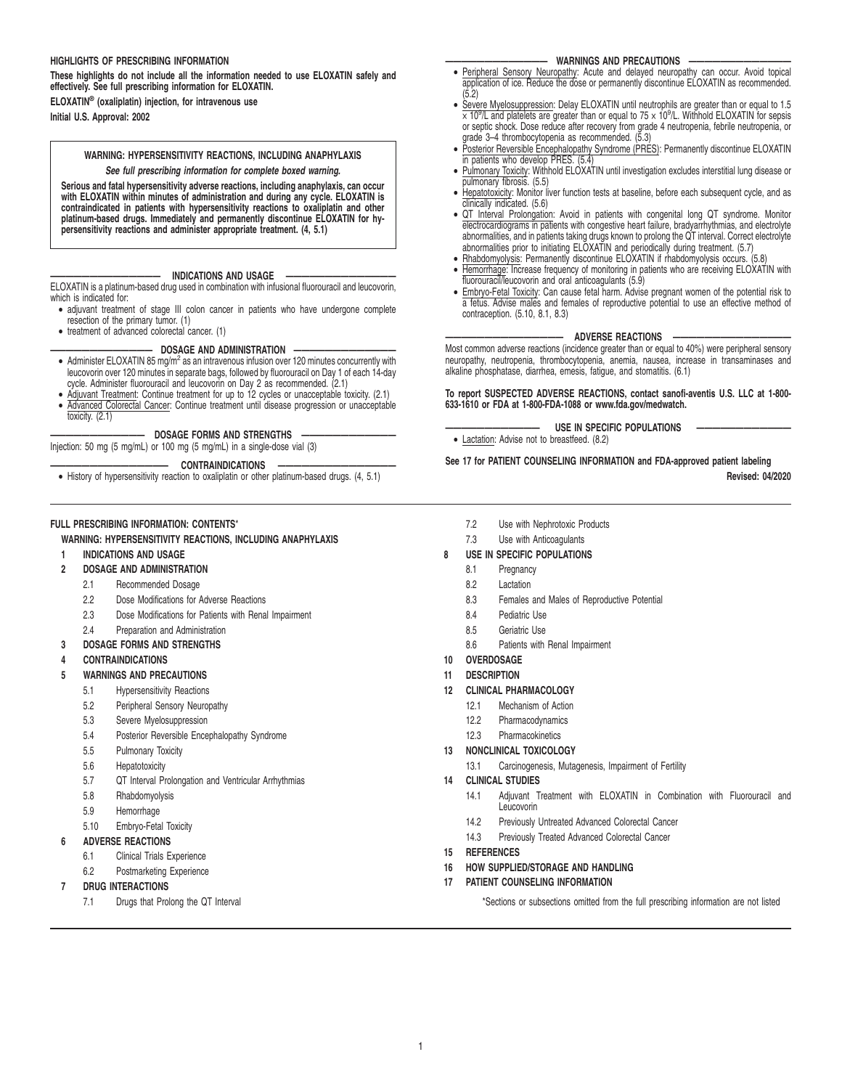#### **HIGHLIGHTS OF PRESCRIBING INFORMATION**

**These highlights do not include all the information needed to use ELOXATIN safely and effectively. See full prescribing information for ELOXATIN.**

**ELOXATIN® (oxaliplatin) injection, for intravenous use**

**Initial U.S. Approval: 2002**

#### **WARNING: HYPERSENSITIVITY REACTIONS, INCLUDING ANAPHYLAXIS**

#### **See full prescribing information for complete boxed warning.**

Serious and fatal hypersensitivity adverse reactions, including anaphylaxis, can occur<br>with ELOXATIN within minutes of administration and during any cycle. ELOXATIN is<br>contraindicated in patients with hypersensitivity reac **platinum-based drugs. Immediately and permanently discontinue ELOXATIN for hy-persensitivity reactions and administer appropriate treatment. (4, 5.1)**

#### **—————————————— INDICATIONS AND USAGE ——————————————**

ELOXATIN is a platinum-based drug used in combination with infusional fluorouracil and leucovorin, which is indicated for:

- adjuvant treatment of stage III colon cancer in patients who have undergone complete resection of the primary tumor. (1)
- treatment of advanced colorectal cancer. (1)

#### **DOSAGE AND ADMINISTRATION**

- $\bullet$  Administer ELOXATIN 85 mg/m<sup>2</sup> as an intravenous infusion over 120 minutes concurrently with leucovorin over 120 minutes in separate bags, followed by fluorouracil on Day 1 of each 14-day cycle. Administer fluorouracil and leucovorin on Day 2 as recommended. (2.1)
- Adjuvant Treatment: Continue treatment for up to 12 cycles or unacceptable toxicity. (2.1) • Advanced Colorectal Cancer: Continue treatment until disease progression or unacceptable toxicity. (2.1)

#### DOSAGE FORMS AND STRENGTHS

Injection: 50 mg (5 mg/mL) or 100 mg (5 mg/mL) in a single-dose vial (3)

#### **——————————————— CONTRAINDICATIONS ———————————————**

• History of hypersensitivity reaction to oxaliplatin or other platinum-based drugs. (4, 5.1)

#### **FULL PRESCRIBING INFORMATION: CONTENTS**\*

#### **WARNING: HYPERSENSITIVITY REACTIONS, INCLUDING ANAPHYLAXIS**

**1 INDICATIONS AND USAGE**

#### **2 DOSAGE AND ADMINISTRATION**

- 2.1 Recommended Dosage
- 2.2 Dose Modifications for Adverse Reactions
- 2.3 Dose Modifications for Patients with Renal Impairment
- 2.4 Preparation and Administration

#### **3 DOSAGE FORMS AND STRENGTHS**

**4 CONTRAINDICATIONS**

## **5 WARNINGS AND PRECAUTIONS**

- 5.1 Hypersensitivity Reactions
- 5.2 Peripheral Sensory Neuropathy
- 5.3 Severe Myelosuppression
- 5.4 Posterior Reversible Encephalopathy Syndrome
- 5.5 Pulmonary Toxicity
- 5.6 Hepatotoxicity
- 5.7 QT Interval Prolongation and Ventricular Arrhythmias
- 5.8 Rhabdomyolysis
- 5.9 Hemorrhage
- 5.10 Embryo-Fetal Toxicity

#### **6 ADVERSE REACTIONS**

- 6.1 Clinical Trials Experience
- 6.2 Postmarketing Experience
- **7 DRUG INTERACTIONS**
	- 7.1 Drugs that Prolong the QT Interval

#### **————————————— WARNINGS AND PRECAUTIONS —————————————**

- Peripheral Sensory Neuropathy: Acute and delayed neuropathy can occur. Avoid topical application of ice. Reduce the dose or permanently discontinue ELOXATIN as recommended. (5.2)
- Severe Myelosuppression: Delay ELOXATIN until neutrophils are greater than or equal to 1.5  $\times$  10<sup>9</sup>/L and platelets are greater than or equal to 75  $\times$  10<sup>9</sup>/L. Withhold ELOXATIN for sepsis or septic shock. Dose reduce after recovery from grade 4 neutropenia, febrile neutropenia, or grade 3–4 thrombocytopenia as recommended. (5.3)
- Posterior Reversible Encephalopathy Syndrome (PRES): Permanently discontinue ELOXATIN in patients who develop PRES. (5.4)
- Pulmonary Toxicity: Withhold ELOXATIN until investigation excludes interstitial lung disease or pulmonary fibrosis. (5.5)
- Hepatotoxicity: Monitor liver function tests at baseline, before each subsequent cycle, and as clinically indicated. (5.6)
- QT Interval Prolongation: Avoid in patients with congenital long QT syndrome. Monitor electrocardiograms in patients with congestive heart failure, bradyarrhythmias, and electrolyte abnormalities, and in patients taking drugs known to prolong the QT interval. Correct electrolyte
- abnormalities prior to initiating ELOXATIN and periodically during treatment. (5.7) Rhabdomyolysis: Permanently discontinue ELOXATIN if rhabdomyolysis occurs. (5.8)
- Hemorrhage: Increase frequency of monitoring in patients who are receiving ELOXATIN with fluorouracil/leucovorin and oral anticoagulants (5.9)
- Embryo-Fetal Toxicity: Can cause fetal harm. Advise pregnant women of the potential risk to a fetus. Advise males and females of reproductive potential to use an effective method of contraception. (5.10, 8.1, 8.3)

#### - ADVERSE REACTIONS

Most common adverse reactions (incidence greater than or equal to 40%) were peripheral sensory neuropathy, neutropenia, thrombocytopenia, anemia, nausea, increase in transaminases and alkaline phosphatase, diarrhea, emesis, fatigue, and stomatitis. (6.1)

#### **To report SUSPECTED ADVERSE REACTIONS, contact sanofi-aventis U.S. LLC at 1-800- 633-1610 or FDA at 1-800-FDA-1088 or www.fda.gov/medwatch.**

**USE IN SPECIFIC POPULATIONS** • Lactation: Advise not to breastfeed. (8.2)

#### **See 17 for PATIENT COUNSELING INFORMATION and FDA-approved patient labeling Revised: 04/2020**

- 7.2 Use with Nephrotoxic Products
- 7.3 Use with Anticoagulants

## **8 USE IN SPECIFIC POPULATIONS**

- 8.1 Pregnancy
- 8.2 Lactation
- 8.3 Females and Males of Reproductive Potential
- 8.4 Pediatric Use
- 8.5 Geriatric Use
- 8.6 Patients with Renal Impairment
- **10 OVERDOSAGE**
- **11 DESCRIPTION**

#### **12 CLINICAL PHARMACOLOGY**

- 12.1 Mechanism of Action
- 12.2 Pharmacodynamics
- 12.3 Pharmacokinetics
- **13 NONCLINICAL TOXICOLOGY**
	- 13.1 Carcinogenesis, Mutagenesis, Impairment of Fertility

#### **14 CLINICAL STUDIES**

- 14.1 Adjuvant Treatment with ELOXATIN in Combination with Fluorouracil and Leucovorin
- 14.2 Previously Untreated Advanced Colorectal Cancer
- 14.3 Previously Treated Advanced Colorectal Cancer

#### **15 REFERENCES**

**16 HOW SUPPLIED/STORAGE AND HANDLING**

#### **17 PATIENT COUNSELING INFORMATION**

\*Sections or subsections omitted from the full prescribing information are not listed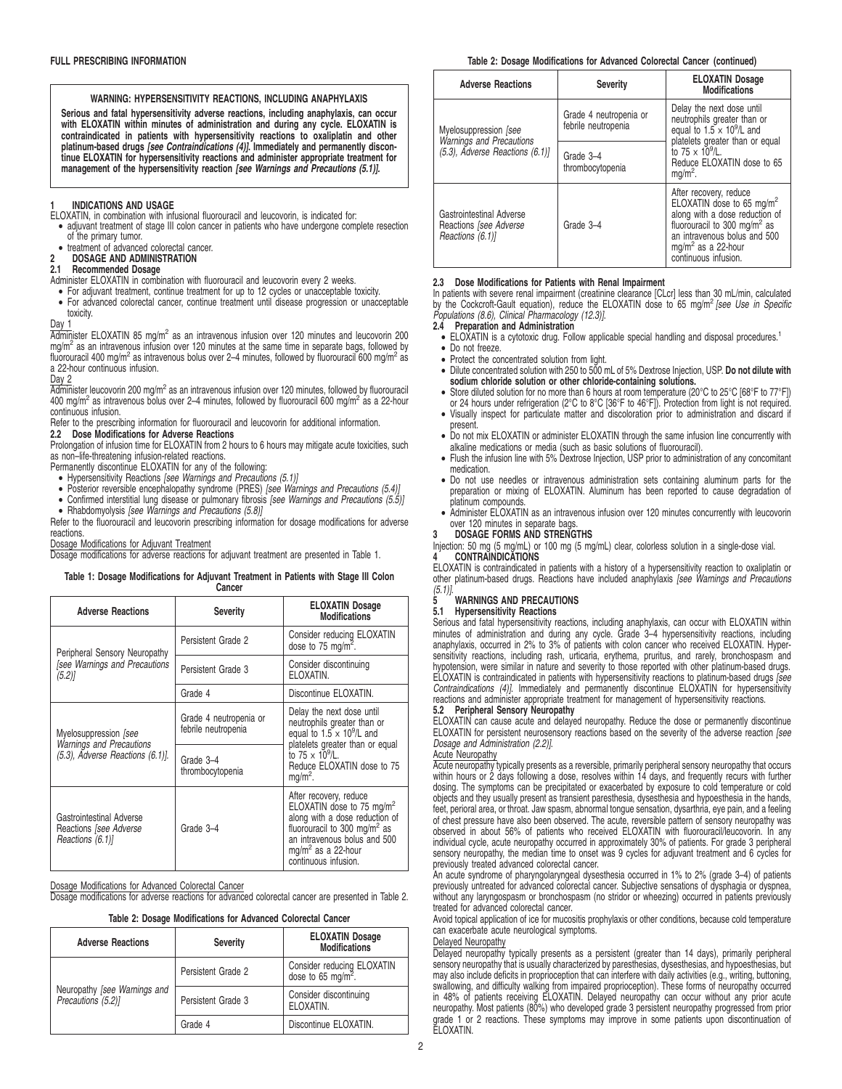#### **WARNING: HYPERSENSITIVITY REACTIONS, INCLUDING ANAPHYLAXIS**

**Serious and fatal hypersensitivity adverse reactions, including anaphylaxis, can occur with ELOXATIN within minutes of administration and during any cycle. ELOXATIN is contraindicated in patients with hypersensitivity reactions to oxaliplatin and other platinum-based drugs [see Contraindications (4)]. Immediately and permanently discon-tinue ELOXATIN for hypersensitivity reactions and administer appropriate treatment for** management of the hypersensitivity reaction *[see Warnings and Precautions (5.1)]*.

#### **1 INDICATIONS AND USAGE**

ELOXATIN, in combination with infusional fluorouracil and leucovorin, is indicated for:

- adjuvant treatment of stage III colon cancer in patients who have undergone complete resection of the primary tumor.
- treatment of advanced colorectal cancer.

## **2 DOSAGE AND ADMINISTRATION**

#### **2.1 Recommended Dosage**

- Administer ELOXATIN in combination with fluorouracil and leucovorin every 2 weeks. For adjuvant treatment, continue treatment for up to 12 cycles or unacceptable toxicity.
- For advanced colorectal cancer, continue treatment until disease progression or unacceptable toxicity.

## Day 1

Administer ELOXATIN 85 mg/m<sup>2</sup> as an intravenous infusion over 120 minutes and leucovorin 200<br>mg/m<sup>2</sup> as an intravenous infusion over 120 minutes at the same time in separate bags, followed by fluorouracil 400 mg/m<sup>2</sup> as intravenous bolus over 2–4 minutes, followed by fluorouracil 600 mg/m<sup>2</sup> as a 22-hour continuous infusion.

#### Day 2

Administer leucovorin 200 mg/m<sup>2</sup> as an intravenous infusion over 120 minutes, followed by fluorouracil 400 mg/m<sup>2</sup> as intravenous bolus over 2–4 minutes, followed by fluorouracil 600 mg/m<sup>2</sup> as a 22-hour continuous infusion.

Refer to the prescribing information for fluorouracil and leucovorin for additional information.

#### **2.2 Dose Modifications for Adverse Reactions**

Prolongation of infusion time for ELOXATIN from 2 hours to 6 hours may mitigate acute toxicities, such

as non–life-threatening infusion-related reactions. Permanently discontinue ELOXATIN for any of the following:

- Hypersensitivity Reactions [see Warnings and Precautions (5.1)]
- 
- Posterior reversible encephalopathy syndrome (PRES) [see Warnings and Precautions (5.4)] Confirmed interstitial lung disease or pulmonary fibrosis [see Warnings and Precautions (5.5)] • Rhabdomyolysis [see Warnings and Precautions (5.8)]

Refer to the fluorouracil and leucovorin prescribing information for dosage modifications for adverse reactions.

#### Dosage Modifications for Adjuvant Treatment

Dosage modifications for adverse reactions for adjuvant treatment are presented in Table 1.

#### **Table 1: Dosage Modifications for Adjuvant Treatment in Patients with Stage III Colon** Cance

| <b>Adverse Reactions</b>                                                       | Severity                                      | <b>ELOXATIN Dosage</b><br><b>Modifications</b>                                                                                                                                                                                          |  |  |  |
|--------------------------------------------------------------------------------|-----------------------------------------------|-----------------------------------------------------------------------------------------------------------------------------------------------------------------------------------------------------------------------------------------|--|--|--|
| Peripheral Sensory Neuropathy<br>[see Warnings and Precautions<br>$(5.2)$ ]    | Persistent Grade 2                            | Consider reducing ELOXATIN<br>dose to 75 mg/m <sup>2</sup> .                                                                                                                                                                            |  |  |  |
|                                                                                | Persistent Grade 3                            | Consider discontinuing<br>ELOXATIN.                                                                                                                                                                                                     |  |  |  |
|                                                                                | Grade 4                                       | Discontinue ELOXATIN.                                                                                                                                                                                                                   |  |  |  |
| Myelosuppression [see                                                          | Grade 4 neutropenia or<br>febrile neutropenia | Delay the next dose until<br>neutrophils greater than or<br>equal to $1.5 \times 10^9$ /L and<br>platelets greater than or equal<br>to $75 \times 10^9$ /L.<br>Reduce ELOXATIN dose to 75<br>$mq/m2$ .                                  |  |  |  |
| <b>Warnings and Precautions</b><br>(5.3), Adverse Reactions (6.1)].            | Grade 3-4<br>thrombocytopenia                 |                                                                                                                                                                                                                                         |  |  |  |
| <b>Gastrointestinal Adverse</b><br>Reactions [see Adverse]<br>Reactions (6.1)] | Grade 3-4                                     | After recovery, reduce<br>ELOXATIN dose to 75 mg/m <sup>2</sup><br>along with a dose reduction of<br>fluorouracil to 300 mg/m <sup>2</sup> as<br>an intravenous bolus and 500<br>mg/m <sup>2</sup> as a 22-hour<br>continuous infusion. |  |  |  |

## Dosage Modifications for Advanced Colorectal Cancer

Dosage modifications for adverse reactions for advanced colorectal cancer are presented in Table 2.

**Table 2: Dosage Modifications for Advanced Colorectal Cancer**

| <b>Adverse Reactions</b>                           | Severity                                                  | <b>ELOXATIN Dosage</b><br><b>Modifications</b>               |  |
|----------------------------------------------------|-----------------------------------------------------------|--------------------------------------------------------------|--|
| Neuropathy [see Warnings and<br>Precautions (5.2)] | Persistent Grade 2                                        | Consider reducing ELOXATIN<br>dose to 65 mg/m <sup>2</sup> . |  |
|                                                    | Consider discontinuing<br>Persistent Grade 3<br>ELOXATIN. |                                                              |  |
|                                                    | Grade 4                                                   | Discontinue ELOXATIN.                                        |  |

#### **Table 2: Dosage Modifications for Advanced Colorectal Cancer (continued)**

| <b>Adverse Reactions</b>                                               | <b>Severity</b>                               | <b>ELOXATIN Dosage</b><br><b>Modifications</b>                                                                                                                                                                                          |  |
|------------------------------------------------------------------------|-----------------------------------------------|-----------------------------------------------------------------------------------------------------------------------------------------------------------------------------------------------------------------------------------------|--|
| Myelosuppression [see                                                  | Grade 4 neutropenia or<br>febrile neutropenia | Delay the next dose until<br>neutrophils greater than or<br>equal to $1.5 \times 10^9$ /L and<br>platelets greater than or equal                                                                                                        |  |
| Warnings and Precautions<br>$(5.3)$ , Adverse Reactions $(6.1)$ ]      | Grade 3-4<br>thrombocytopenia                 | to $75 \times 10^9$ /L.<br>Reduce ELOXATIN dose to 65<br>$mq/m2$ .                                                                                                                                                                      |  |
| Gastrointestinal Adverse<br>Reactions [see Adverse<br>Reactions (6.1)] | Grade 3-4                                     | After recovery, reduce<br>ELOXATIN dose to 65 mg/m <sup>2</sup><br>along with a dose reduction of<br>fluorouracil to 300 mg/m <sup>2</sup> as<br>an intravenous bolus and 500<br>mg/m <sup>2</sup> as a 22-hour<br>continuous infusion. |  |

#### **2.3 Dose Modifications for Patients with Renal Impairment**

In patients with severe renal impairment (creatinine clearance [CLcr] less than 30 mL/min, calculated by the Cockcroft-Gault equation), reduce the ELOXATIN dose to 65 mg/m<sup>2</sup> [see Use in Specific Populations (8.6), Clinical Pharmacology (12.3)].<br>2.4 Preparation and Administration **2.4 Preparation and Administration**

- ELOXATIN is a cytotoxic drug. Follow applicable special handling and disposal procedures.<sup>1</sup>
- Do not freeze.
- Protect the concentrated solution from light.
- Dilute concentrated solution with 250 to 500 mL of 5% Dextrose Injection, USP. **Do not dilute with sodium chloride solution or other chloride-containing solutions.**
- Store diluted solution for no more than 6 hours at room temperature (20°C to 25°C [68°F to 77°F]) or 24 hours under refrigeration (2°C to 8°C [36°F to 46°F]). Protection from light is not required.
- Visually inspect for particulate matter and discoloration prior to administration and discard if present.
- Do not mix ELOXATIN or administer ELOXATIN through the same infusion line concurrently with alkaline medications or media (such as basic solutions of fluorouracil).
- Flush the infusion line with 5% Dextrose Injection, USP prior to administration of any concomitant medication.
- Do not use needles or intravenous administration sets containing aluminum parts for the preparation or mixing of ELOXATIN. Aluminum has been reported to cause degradation of platinum compounds.
- Administer ELOXATIN as an intravenous infusion over 120 minutes concurrently with leucovorin over 120 minutes in separate bags.

## **3 DOSAGE FORMS AND STRENGTHS**

Injection: 50 mg (5 mg/mL) or 100 mg (5 mg/mL) clear, colorless solution in a single-dose vial.<br>4 **CONTRAINDICATIONS 4 CONTRAINDICATIONS**

ELOXATIN is contraindicated in patients with a history of a hypersensitivity reaction to oxaliplatin or<br>other platinum-based drugs. Reactions have included anaphylaxis *[see Warnings and Precautions*<br>(5.1)]. **5 WARNINGS AND PRECAUTIONS**

## **5.1 Hypersensitivity Reactions**

Serious and fatal hypersensitivity reactions, including anaphylaxis, can occur with ELOXATIN within minutes of administration and during any cycle. Grade 3–4 hypersensitivity reactions, including anaphylaxis, occurred in 2% to 3% of patients with colon cancer who received ELOXATIN. Hypersensitivity reactions, including rash, urticaria, erythema, pruritus, and rarely, bronchospasm and hypotension, were similar in nature and severity to those reported with other platinum-based drugs. ELOXATIN is contraindicated in patients with hypersensitivity reactions to platinum-based drugs [see Contraindications (4)]. Immediately and permanently discontinue ELOXATIN for hypersensitivity reactions and administer appropriate treatment for management of hypersensitivity reactions.

#### **5.2 Peripheral Sensory Neuropathy**

ELOXATIN can cause acute and delayed neuropathy. Reduce the dose or permanently discontinue ELOXATIN for persistent neurosensory reactions based on the severity of the adverse reaction [see Dosage and Administration (2.2)].

#### Acute Neuropathy

Acute neuropathy typically presents as a reversible, primarily peripheral sensory neuropathy that occurs within hours or 2 days following a dose, resolves within 14 days, and frequently recurs with further dosing. The symptoms can be precipitated or exacerbated by exposure to cold temperature or cold objects and they usually present as transient paresthesia, dysesthesia and hypoesthesia in the hands, feet, perioral area, or throat. Jaw spasm, abnormal tongue sensation, dysarthria, eye pain, and a feeling of chest pressure have also been observed. The acute, reversible pattern of sensory neuropathy was observed in about 56% of patients who received ELOXATIN with fluorouracil/leucovorin. In any individual cycle, acute neuropathy occurred in approximately 30% of patients. For grade 3 peripheral sensory neuropathy, the median time to onset was 9 cycles for adjuvant treatment and 6 cycles for previously treated advanced colorectal cancer.

An acute syndrome of pharyngolaryngeal dysesthesia occurred in 1% to 2% (grade 3–4) of patients previously untreated for advanced colorectal cancer. Subjective sensations of dysphagia or dyspnea, without any laryngospasm or bronchospasm (no stridor or wheezing) occurred in patients previously treated for advanced colorectal cancer.

Avoid topical application of ice for mucositis prophylaxis or other conditions, because cold temperature can exacerbate acute neurological symptoms.

#### Delayed Neuropathy

Delayed neuropathy typically presents as a persistent (greater than 14 days), primarily peripheral sensory neuropathy that is usually characterized by paresthesias, dysesthesias, and hypoesthesias, but may also include deficits in proprioception that can interfere with daily activities (e.g., writing, buttoning, swallowing, and difficulty walking from impaired proprioception). These forms of neuropathy occurred in 48% of patients receiving ELOXATIN. Delayed neuropathy can occur without any prior acute neuropathy. Most patients (80%) who developed grade 3 persistent neuropathy progressed from prior grade 1 or 2 reactions. These symptoms may improve in some patients upon discontinuation of ELOXATIN.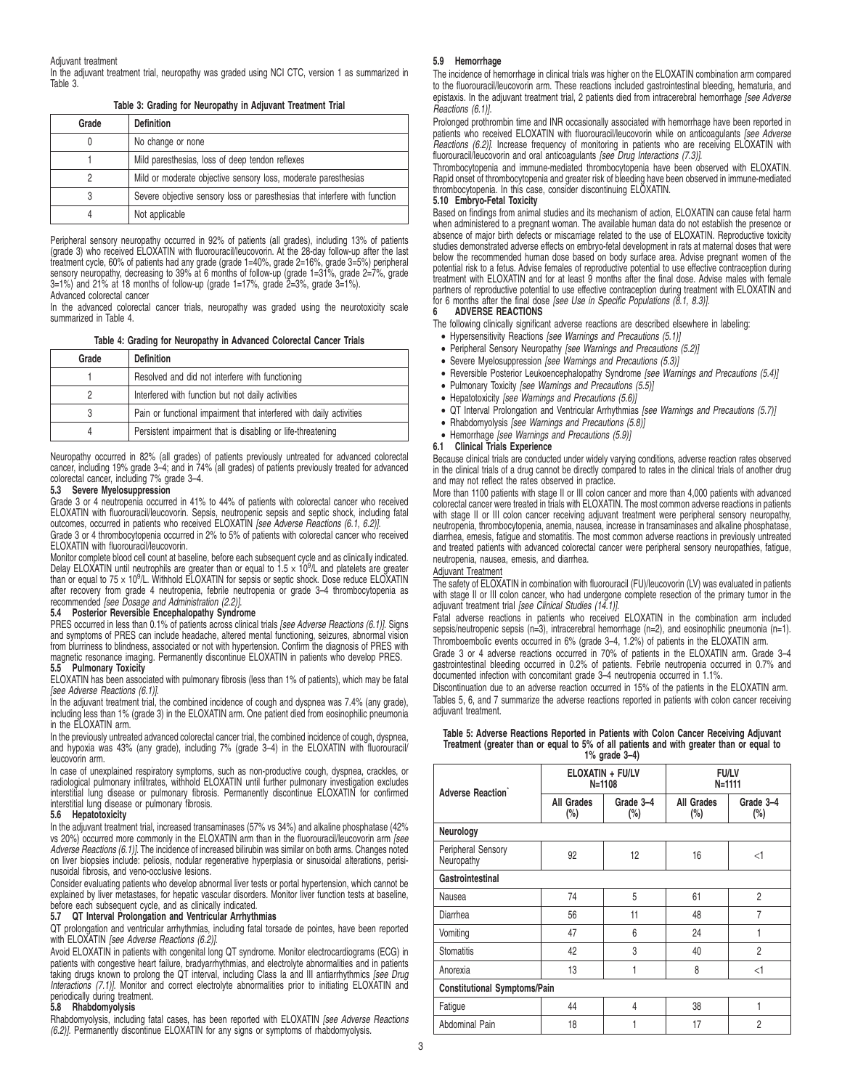#### Adjuvant treatment

In the adjuvant treatment trial, neuropathy was graded using NCI CTC, version 1 as summarized in Table 3.

**Table 3: Grading for Neuropathy in Adjuvant Treatment Trial**

| Grade | <b>Definition</b>                                                          |
|-------|----------------------------------------------------------------------------|
| 0     | No change or none                                                          |
|       | Mild paresthesias, loss of deep tendon reflexes                            |
|       | Mild or moderate objective sensory loss, moderate paresthesias             |
| 3     | Severe objective sensory loss or paresthesias that interfere with function |
| 4     | Not applicable                                                             |

Peripheral sensory neuropathy occurred in 92% of patients (all grades), including 13% of patients (grade 3) who received ELOXATIN with fluorouracil/leucovorin. At the 28-day follow-up after the last treatment cycle, 60% of patients had any grade (grade 1=40%, grade 2=16%, grade 3=5%) peripheral sensory neuropathy, decreasing to 39% at 6 months of follow-up (grade 1=31%, grade 2=7%, grade 3=1%) and 21% at 18 months of follow-up (grade 1=17%, grade 2=3%, grade 3=1%). Advanced colorectal cancer

In the advanced colorectal cancer trials, neuropathy was graded using the neurotoxicity scale summarized in Table 4.

**Table 4: Grading for Neuropathy in Advanced Colorectal Cancer Trials**

| Grade | <b>Definition</b>                                                   |
|-------|---------------------------------------------------------------------|
|       | Resolved and did not interfere with functioning                     |
| 2     | Interfered with function but not daily activities                   |
| 3     | Pain or functional impairment that interfered with daily activities |
| 4     | Persistent impairment that is disabling or life-threatening         |

Neuropathy occurred in 82% (all grades) of patients previously untreated for advanced colorectal cancer, including 19% grade 3–4; and in 74% (all grades) of patients previously treated for advanced colorectal cancer, including 7% grade 3–4.

#### **5.3 Severe Myelosuppression**

Grade 3 or 4 neutropenia occurred in 41% to 44% of patients with colorectal cancer who received ELOXATIN with fluorouracil/leucovorin. Sepsis, neutropenic sepsis and septic shock, including fatal<br>outcomes, occurred in patients who received ELOXATIN *[see Adverse Reactions (6.1, 6.2)].* 

Grade 3 or 4 thrombocytopenia occurred in 2% to 5% of patients with colorectal cancer who received ELOXATIN with fluorouracil/leucovorin.

Monitor complete blood cell count at baseline, before each subsequent cycle and as clinically indicated. Delay ELOXATIN until neutrophils are greater than or equal to  $1.5 \times 10^9$ /L and platelets are greater than or equal to 75 x 10<sup>9</sup>/L. Withhold ELOXATIN for sepsis or septic shock. Dose reduce ELOXATIN after recovery from grade 4 neutropenia, febrile neutropenia or grade 3–4 thrombocytopenia as recommended [see Dosage and Administration (2.2)].

#### **5.4 Posterior Reversible Encephalopathy Syndrome**

PRES occurred in less than 0.1% of patients across clinical trials [see Adverse Reactions (6.1)]. Signs and symptoms of PRES can include headache, altered mental functioning, seizures, abnormal vision from blurriness to blindness, associated or not with hypertension. Confirm the diagnosis of PRES with magnetic resonance imaging. Permanently discontinue ELOXATIN in patients who develop PRES.

#### **5.5 Pulmonary Toxicity**

ELOXATIN has been associated with pulmonary fibrosis (less than 1% of patients), which may be fatal [see Adverse Reactions (6.1)].

In the adjuvant treatment trial, the combined incidence of cough and dyspnea was 7.4% (any grade), including less than 1% (grade 3) in the ELOXATIN arm. One patient died from eosinophilic pneumonia in the ELOXATIN arm.

In the previously untreated advanced colorectal cancer trial, the combined incidence of cough, dyspnea, and hypoxia was 43% (any grade), including 7% (grade 3–4) in the ELOXATIN with fluorouracil/ leucovorin arm.

In case of unexplained respiratory symptoms, such as non-productive cough, dyspnea, crackles, or radiological pulmonary infiltrates, withhold ELOXATIN until further pulmonary investigation excludes interstitial lung disease or pulmonary fibrosis. Permanently discontinue ELOXATIN for confirmed interstitial lung disease or pulmonary fibrosis.

#### **5.6 Hepatotoxicity**

In the adjuvant treatment trial, increased transaminases (57% vs 34%) and alkaline phosphatase (42% vs 20%) occurred more commonly in the ELOXATIN arm than in the fluorouracil/leucovorin arm [see Adverse Reactions (6.1)]. The incidence of increased bilirubin was similar on both arms. Changes noted on liver biopsies include: peliosis, nodular regenerative hyperplasia or sinusoidal alterations, perisinusoidal fibrosis, and veno-occlusive lesions.

Consider evaluating patients who develop abnormal liver tests or portal hypertension, which cannot be explained by liver metastases, for hepatic vascular disorders. Monitor liver function tests at baseline, before each subsequent cycle, and as clinically indicated.

#### **5.7 QT Interval Prolongation and Ventricular Arrhythmias**

QT prolongation and ventricular arrhythmias, including fatal torsade de pointes, have been reported with ELOXATIN [see Adverse Reactions (6.2)].

Avoid ELOXATIN in patients with congenital long QT syndrome. Monitor electrocardiograms (ECG) in patients with congestive heart failure, bradyarrhythmias, and electrolyte abnormalities and in patients<br>taking drugs known to prolong the QT interval, including Class Ia and III antiarrhythmics *[see Drug* Interactions (7.1)]. Monitor and correct electrolyte abnormalities prior to initiating ELOXATIN and periodically during treatment. **5.8 Rhabdomyolysis**

Rhabdomyolysis, including fatal cases, has been reported with ELOXATIN [see Adverse Reactions (6.2)]. Permanently discontinue ELOXATIN for any signs or symptoms of rhabdomyolysis.

#### **5.9 Hemorrhage**

The incidence of hemorrhage in clinical trials was higher on the ELOXATIN combination arm compared to the fluorouracil/leucovorin arm. These reactions included gastrointestinal bleeding, hematuria, and epistaxis. In the adjuvant treatment trial, 2 patients died from intracerebral hemorrhage [see Adverse Reactions (6.1)].

Prolonged prothrombin time and INR occasionally associated with hemorrhage have been reported in patients who received ELOXATIN with fluorouracil/leucovorin while on anticoagulants [see Adverse Reactions (6.2)]. Increase frequency of monitoring in patients who are receiving ELOXATIN with fluorouracil/leucovorin and oral anticoagulants [see Drug Interactions (7.3)].

Thrombocytopenia and immune-mediated thrombocytopenia have been observed with ELOXATIN. Rapid onset of thrombocytopenia and greater risk of bleeding have been observed in immune-mediated thrombocytopenia. In this case, consider discontinuing ELOXATIN.

### **5.10 Embryo-Fetal Toxicity**

Based on findings from animal studies and its mechanism of action, ELOXATIN can cause fetal harm when administered to a pregnant woman. The available human data do not establish the presence or absence of major birth defects or miscarriage related to the use of ELOXATIN. Reproductive toxicity studies demonstrated adverse effects on embryo-fetal development in rats at maternal doses that were below the recommended human dose based on body surface area. Advise pregnant women of the potential risk to a fetus. Advise females of reproductive potential to use effective contraception during treatment with ELOXATIN and for at least 9 months after the final dose. Advise males with female partners of reproductive potential to use effective contraception during treatment with ELOXATIN and for 6 months after the final dose [see Use in Specific Populations (8.1, 8.3)].

#### **6 ADVERSE REACTIONS**

The following clinically significant adverse reactions are described elsewhere in labeling:

- Hypersensitivity Reactions [see Warnings and Precautions (5.1)]
- Peripheral Sensory Neuropathy [see Warnings and Precautions (5.2)]
- Severe Myelosuppression [see Warnings and Precautions (5.3)]
- Reversible Posterior Leukoencephalopathy Syndrome [see Warnings and Precautions (5.4)]
- Pulmonary Toxicity [see Warnings and Precautions (5.5)]
- Hepatotoxicity [see Warnings and Precautions (5.6)]
- QT Interval Prolongation and Ventricular Arrhythmias [see Warnings and Precautions (5.7)]
- Rhabdomyolysis [see Warnings and Precautions (5.8)]
- Hemorrhage [see Warnings and Precautions (5.9)]
- **6.1 Clinical Trials Experience**

Because clinical trials are conducted under widely varying conditions, adverse reaction rates observed in the clinical trials of a drug cannot be directly compared to rates in the clinical trials of another drug and may not reflect the rates observed in practice.

More than 1100 patients with stage II or III colon cancer and more than 4,000 patients with advanced colorectal cancer were treated in trials with ELOXATIN. The most common adverse reactions in patients with stage II or III colon cancer receiving adjuvant treatment were peripheral sensory neuropathy, neutropenia, thrombocytopenia, anemia, nausea, increase in transaminases and alkaline phosphatase, diarrhea, emesis, fatigue and stomatitis. The most common adverse reactions in previously untreated and treated patients with advanced colorectal cancer were peripheral sensory neuropathies, fatigue, neutropenia, nausea, emesis, and diarrhea.

#### Adjuvant Treatment

The safety of ELOXATIN in combination with fluorouracil (FU)/leucovorin (LV) was evaluated in patients with stage II or III colon cancer, who had undergone complete resection of the primary tumor in the adjuvant treatment trial [see Clinical Studies (14.1)].

Fatal adverse reactions in patients who received ELOXATIN in the combination arm included sepsis/neutropenic sepsis (n=3), intracerebral hemorrhage (n=2), and eosinophilic pneumonia (n=1). Thromboembolic events occurred in 6% (grade 3–4, 1.2%) of patients in the ELOXATIN arm.

Grade 3 or 4 adverse reactions occurred in 70% of patients in the ELOXATIN arm. Grade 3–4 gastrointestinal bleeding occurred in 0.2% of patients. Febrile neutropenia occurred in 0.7% and documented infection with concomitant grade 3–4 neutropenia occurred in 1.1%.

Discontinuation due to an adverse reaction occurred in 15% of the patients in the ELOXATIN arm. Tables 5, 6, and 7 summarize the adverse reactions reported in patients with colon cancer receiving adjuvant treatment

#### **Table 5: Adverse Reactions Reported in Patients with Colon Cancer Receiving Adjuvant Treatment (greater than or equal to 5% of all patients and with greater than or equal to 1% grade 3–4)**

| Adverse Reaction <sup>®</sup>       | ELOXATIN + FU/LV<br>$N = 1108$ |                     | <b>FU/LV</b><br>$N = 1111$ |                  |
|-------------------------------------|--------------------------------|---------------------|----------------------------|------------------|
|                                     | All Grades<br>$(\%)$           | Grade 3-4<br>$(\%)$ | All Grades<br>$(\%)$       | Grade 3-4<br>(%) |
| Neurology                           |                                |                     |                            |                  |
| Peripheral Sensory<br>Neuropathy    | 92                             | 12                  | 16                         | $<$ 1            |
| Gastrointestinal                    |                                |                     |                            |                  |
| Nausea                              | 74                             | 5                   | 61                         | $\overline{2}$   |
| <b>Diarrhea</b>                     | 56                             | 11                  | 48                         | 7                |
| Vomiting                            | 47                             | 6                   | 24                         | 1                |
| <b>Stomatitis</b>                   | 42                             | 3                   | 40                         | $\overline{2}$   |
| Anorexia                            | 13                             | 1                   | 8                          | $<$ 1            |
| <b>Constitutional Symptoms/Pain</b> |                                |                     |                            |                  |
| Fatigue                             | 44                             | $\overline{4}$      | 38                         | 1                |
| Abdominal Pain                      | 18                             | 1                   | 17                         | $\overline{2}$   |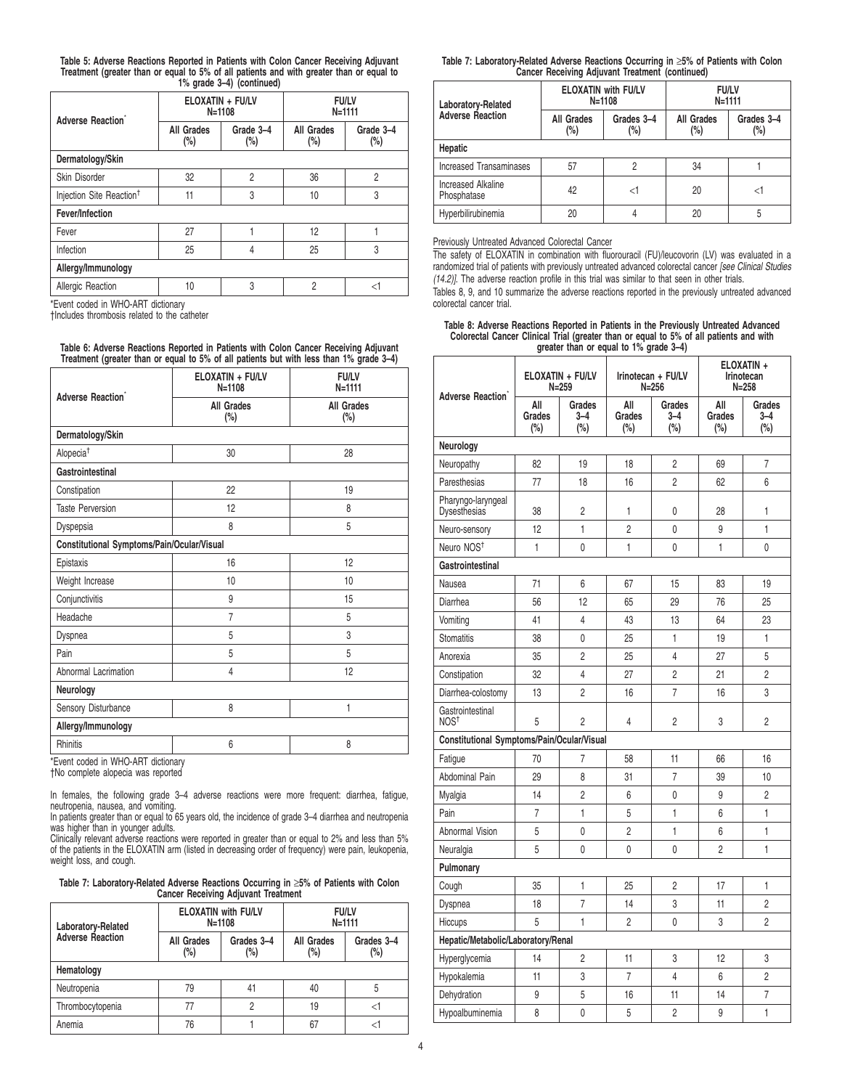| Table 5: Adverse Reactions Reported in Patients with Colon Cancer Receiving Adjuvant     |
|------------------------------------------------------------------------------------------|
| Treatment (greater than or equal to 5% of all patients and with greater than or equal to |
| 1% arade 3–4) (continued)                                                                |

| $\cdots$ given $\cdots$ , (common)   |                                |                     |                            |                     |  |
|--------------------------------------|--------------------------------|---------------------|----------------------------|---------------------|--|
| <b>Adverse Reaction</b>              | ELOXATIN + FU/LV<br>$N = 1108$ |                     | <b>FU/LV</b><br>$N = 1111$ |                     |  |
|                                      | All Grades<br>$(\%)$           | Grade 3-4<br>$(\%)$ | All Grades<br>$(\%)$       | Grade 3-4<br>$(\%)$ |  |
| Dermatology/Skin                     |                                |                     |                            |                     |  |
| Skin Disorder                        | 32                             | $\overline{2}$      | 36                         | $\overline{2}$      |  |
| Injection Site Reaction <sup>†</sup> | 11                             | 3                   | 10                         | 3                   |  |
| <b>Fever/Infection</b>               |                                |                     |                            |                     |  |
| Fever                                | 27                             |                     | 12                         |                     |  |
| Infection                            | 25                             | 4                   | 25                         | 3                   |  |
| Allergy/Immunology                   |                                |                     |                            |                     |  |
| Allergic Reaction                    | 10                             | 3                   | $\overline{2}$             | <1                  |  |

\*Event coded in WHO-ART dictionary

†Includes thrombosis related to the catheter

| Table 6: Adverse Reactions Reported in Patients with Colon Cancer Receiving Adjuvant    |  |  |
|-----------------------------------------------------------------------------------------|--|--|
| Treatment (greater than or equal to 5% of all patients but with less than 1% grade 3-4) |  |  |

| <b>Adverse Reaction</b>                    | ELOXATIN + FU/LV<br>$N = 1108$ | <b>FU/LV</b><br>$N = 1111$<br><b>All Grades</b><br>(%) |  |
|--------------------------------------------|--------------------------------|--------------------------------------------------------|--|
|                                            | All Grades<br>$(\%)$           |                                                        |  |
| Dermatology/Skin                           |                                |                                                        |  |
| Alopecia <sup>†</sup>                      | 30                             | 28                                                     |  |
| Gastrointestinal                           |                                |                                                        |  |
| Constipation                               | 22                             | 19                                                     |  |
| <b>Taste Perversion</b>                    | 12                             | 8                                                      |  |
| Dyspepsia                                  | 8                              | 5                                                      |  |
| Constitutional Symptoms/Pain/Ocular/Visual |                                |                                                        |  |
| Epistaxis                                  | 16                             | 12                                                     |  |
| Weight Increase                            | 10                             | 10                                                     |  |
| Conjunctivitis                             | 9                              | 15                                                     |  |
| Headache                                   | $\overline{7}$                 | 5                                                      |  |
| Dyspnea                                    | 5                              | 3                                                      |  |
| Pain                                       | 5                              | 5                                                      |  |
| Abnormal Lacrimation                       | 4                              | 12                                                     |  |
| Neurology                                  |                                |                                                        |  |
| Sensory Disturbance                        | 8                              | 1                                                      |  |
| Allergy/Immunology                         |                                |                                                        |  |
| <b>Rhinitis</b>                            | 6                              | 8                                                      |  |

\*Event coded in WHO-ART dictionary †No complete alopecia was reported

In females, the following grade 3–4 adverse reactions were more frequent: diarrhea, fatigue, neutropenia, nausea, and vomiting.

In patients greater than or equal to 65 years old, the incidence of grade 3-4 diarrhea and neutropenia was higher than in younger adults.

Clinically relevant adverse reactions were reported in greater than or equal to 2% and less than 5% of the patients in the ELOXATIN arm (listed in decreasing order of frequency) were pain, leukopenia, weight loss, and cough.

| Table 7: Laboratory-Related Adverse Reactions Occurring in ≥5% of Patients with Colon |
|---------------------------------------------------------------------------------------|
| <b>Cancer Receiving Adjuvant Treatment</b>                                            |

| Laboratory-Related      | <b>ELOXATIN with FU/LV</b><br>$N = 1108$ |                   | <b>FU/LV</b><br>$N = 1111$ |                      |
|-------------------------|------------------------------------------|-------------------|----------------------------|----------------------|
| <b>Adverse Reaction</b> | <b>All Grades</b><br>$(\%)$              | Grades 3-4<br>(%) | <b>All Grades</b><br>(%)   | Grades 3-4<br>$(\%)$ |
| Hematology              |                                          |                   |                            |                      |
| Neutropenia             | 79                                       | 41                | 40                         | 5                    |
| Thrombocytopenia        |                                          | 2                 | 19                         | <1                   |
| Anemia                  | 76                                       |                   | 67                         |                      |

| Table 7: Laboratory-Related Adverse Reactions Occurring in $\geq$ 5% of Patients with Colon |  |
|---------------------------------------------------------------------------------------------|--|
| Cancer Receiving Adjuvant Treatment (continued)                                             |  |

| Laboratory-Related                       |                      | <b>ELOXATIN with FU/LV</b><br>$N = 1108$ | <b>FU/LV</b><br>$N = 1111$ |                      |  |
|------------------------------------------|----------------------|------------------------------------------|----------------------------|----------------------|--|
| <b>Adverse Reaction</b>                  | All Grades<br>$(\%)$ | Grades 3-4<br>(%)                        | All Grades<br>$(\%)$       | Grades 3-4<br>$(\%)$ |  |
| Hepatic                                  |                      |                                          |                            |                      |  |
| <b>Increased Transaminases</b>           | 57                   | 2                                        | 34                         |                      |  |
| <b>Increased Alkaline</b><br>Phosphatase | 42                   | <1                                       | 20                         | <1                   |  |
| Hyperbilirubinemia                       | 20                   | 4                                        | 20                         | 5                    |  |

#### Previously Untreated Advanced Colorectal Cancer

The safety of ELOXATIN in combination with fluorouracil (FU)/leucovorin (LV) was evaluated in a randomized trial of patients with previously untreated advanced colorectal cancer [see Clinical Studies (14.2)]. The adverse reaction profile in this trial was similar to that seen in other trials.

Tables 8, 9, and 10 summarize the adverse reactions reported in the previously untreated advanced colorectal cancer trial.

# Table 8: Adverse Reactions Reported in Patients in the Previously Untreated Advanced<br>Colorectal Cancer Clinical Trial (greater than or equal to 5% of all patients and with<br>greater than or equal to 1% grade 3–4)

| Adverse Reaction <sup>®</sup>              | ອີີີ                    | ELOXATIN + FU/LV<br>$N = 259$ |                         | ອີີ<br>Irinotecan + FU/LV<br>$N = 256$ |                         | ELOXATIN +<br>Irinotecan<br>$N = 258$ |
|--------------------------------------------|-------------------------|-------------------------------|-------------------------|----------------------------------------|-------------------------|---------------------------------------|
|                                            | All<br>Grades<br>$(\%)$ | Grades<br>$3 - 4$<br>(%)      | All<br>Grades<br>$(\%)$ | Grades<br>$3 - 4$<br>(%)               | All<br>Grades<br>$(\%)$ | Grades<br>$3 - 4$<br>$(\%)$           |
| Neurology                                  |                         |                               |                         |                                        |                         |                                       |
| Neuropathy                                 | 82                      | 19                            | 18                      | 2                                      | 69                      | 7                                     |
| Paresthesias                               | 77                      | 18                            | 16                      | 2                                      | 62                      | 6                                     |
| Pharyngo-laryngeal<br>Dysesthesias         | 38                      | $\overline{c}$                | 1                       | 0                                      | 28                      | 1                                     |
| Neuro-sensory                              | 12                      | $\mathbf{1}$                  | $\overline{2}$          | $\mathbf{0}$                           | 9                       | 1                                     |
| Neuro NOS <sup>t</sup>                     | 1                       | 0                             | 1                       | $\mathbf{0}$                           | 1                       | 0                                     |
| Gastrointestinal                           |                         |                               |                         |                                        |                         |                                       |
| Nausea                                     | 71                      | 6                             | 67                      | 15                                     | 83                      | 19                                    |
| Diarrhea                                   | 56                      | 12                            | 65                      | 29                                     | 76                      | 25                                    |
| Vomiting                                   | 41                      | 4                             | 43                      | 13                                     | 64                      | 23                                    |
| <b>Stomatitis</b>                          | 38                      | 0                             | 25                      | 1                                      | 19                      | 1                                     |
| Anorexia                                   | 35                      | $\overline{2}$                | 25                      | $\overline{4}$                         | 27                      | 5                                     |
| Constipation                               | 32                      | $\overline{4}$                | 27                      | $\overline{2}$                         | 21                      | $\overline{2}$                        |
| Diarrhea-colostomy                         | 13                      | $\overline{2}$                | 16                      | $\overline{7}$                         | 16                      | 3                                     |
| Gastrointestinal<br>NOS <sup>t</sup>       | 5                       | 2                             | 4                       | 2                                      | 3                       | 2                                     |
| Constitutional Symptoms/Pain/Ocular/Visual |                         |                               |                         |                                        |                         |                                       |
| Fatique                                    | 70                      | 7                             | 58                      | 11                                     | 66                      | 16                                    |
| <b>Abdominal Pain</b>                      | 29                      | 8                             | 31                      | 7                                      | 39                      | 10                                    |
| Myalgia                                    | 14                      | $\overline{2}$                | 6                       | 0                                      | 9                       | $\overline{2}$                        |
| Pain                                       | $\overline{7}$          | $\mathbf{1}$                  | 5                       | 1                                      | 6                       | 1                                     |
| Abnormal Vision                            | 5                       | 0                             | $\overline{2}$          | 1                                      | 6                       | 1                                     |
| Neuralgia                                  | 5                       | 0                             | $\mathbf{0}$            | 0                                      | $\overline{2}$          | 1                                     |
| Pulmonary                                  |                         |                               |                         |                                        |                         |                                       |
| Cough                                      | 35                      | 1                             | 25                      | 2                                      | 17                      | 1                                     |
| Dyspnea                                    | 18                      | $\overline{7}$                | 14                      | 3                                      | 11                      | $\overline{2}$                        |
| <b>Hiccups</b>                             | 5                       | $\mathbf{1}$                  | 2                       | 0                                      | 3                       | 2                                     |
| Hepatic/Metabolic/Laboratory/Renal         |                         |                               |                         |                                        |                         |                                       |
| Hyperglycemia                              | 14                      | $\overline{c}$                | 11                      | 3                                      | 12                      | 3                                     |
| Hypokalemia                                | 11                      | 3                             | $\overline{7}$          | 4                                      | 6                       | $\overline{2}$                        |
| Dehydration                                | 9                       | 5                             | 16                      | 11                                     | 14                      | $\overline{7}$                        |
| Hypoalbuminemia                            | 8                       | 0                             | 5                       | $\overline{2}$                         | 9                       | $\mathbf{1}$                          |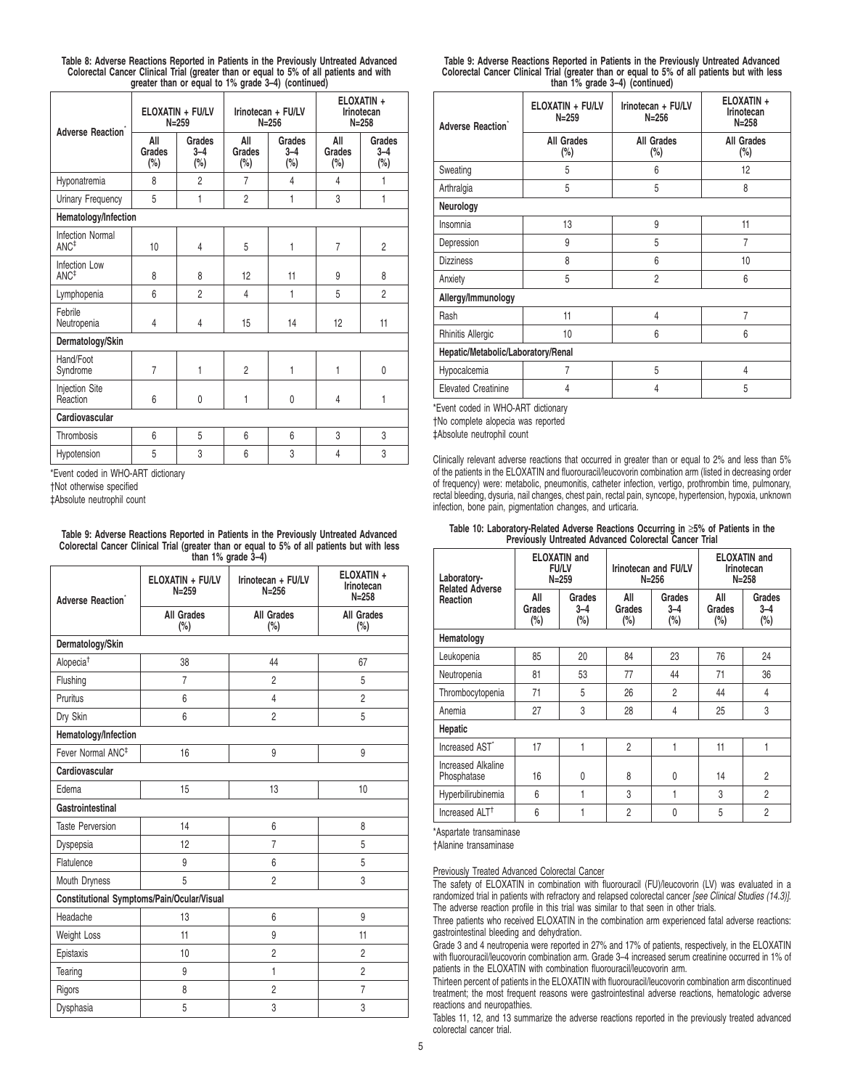| <b>Adverse Reaction</b>                     |                         | ELOXATIN + FU/LV<br>$N = 259$ |                         | Irinotecan + FU/LV<br>$N = 256$ |                         | ELOXATIN +<br>Irinotecan<br>$N = 258$ |
|---------------------------------------------|-------------------------|-------------------------------|-------------------------|---------------------------------|-------------------------|---------------------------------------|
|                                             | All<br>Grades<br>$(\%)$ | Grades<br>$3 - 4$<br>(%)      | All<br>Grades<br>$(\%)$ | Grades<br>$3 - 4$<br>(%)        | All<br>Grades<br>$(\%)$ | Grades<br>$3 - 4$<br>(%)              |
| Hyponatremia                                | 8                       | $\overline{2}$                | $\overline{7}$          | 4                               | 4                       | 1                                     |
| <b>Urinary Frequency</b>                    | 5                       | 1                             | $\overline{2}$          | 1                               | 3                       | 1                                     |
| Hematology/Infection                        |                         |                               |                         |                                 |                         |                                       |
| <b>Infection Normal</b><br>ANC <sup>‡</sup> | 10                      | 4                             | 5                       | 1                               | $\overline{7}$          | $\overline{c}$                        |
| Infection Low<br>ANC <sup>‡</sup>           | 8                       | 8                             | 12                      | 11                              | 9                       | 8                                     |
| Lymphopenia                                 | 6                       | $\overline{2}$                | 4                       | 1                               | 5                       | $\overline{c}$                        |
| Febrile<br>Neutropenia                      | 4                       | 4                             | 15                      | 14                              | 12                      | 11                                    |
| Dermatology/Skin                            |                         |                               |                         |                                 |                         |                                       |
| Hand/Foot<br>Syndrome                       | $\overline{7}$          | 1                             | $\overline{2}$          | 1                               | 1                       | $\mathbf{0}$                          |
| Injection Site<br>Reaction                  | 6                       | 0                             | 1                       | $\mathbf{0}$                    | 4                       | 1                                     |
| Cardiovascular                              |                         |                               |                         |                                 |                         |                                       |
| Thrombosis                                  | 6                       | 5                             | 6                       | 6                               | 3                       | 3                                     |
| Hypotension                                 | 5                       | 3                             | 6                       | 3                               | $\overline{4}$          | 3                                     |

**Table 8: Adverse Reactions Reported in Patients in the Previously Untreated Advanced Colorectal Cancer Clinical Trial (greater than or equal to 5% of all patients and with** greater than or equal to 1% grade 3-4) (continued)

\*Event coded in WHO-ART dictionary

†Not otherwise specified

‡Absolute neutrophil count

**Table 9: Adverse Reactions Reported in Patients in the Previously Untreated Advanced Colorectal Cancer Clinical Trial (greater than or equal to 5% of all patients but with less**

|                               |                                            | than $1\%$ grade $3-4$ )        |                                       |
|-------------------------------|--------------------------------------------|---------------------------------|---------------------------------------|
| Adverse Reaction <sup>*</sup> | ELOXATIN + FU/LV<br>$N = 259$              | Irinotecan + FU/LV<br>$N = 256$ | ELOXATIN +<br>Irinotecan<br>$N = 258$ |
|                               | <b>All Grades</b><br>$(\%)$                | All Grades<br>(%)               | <b>All Grades</b><br>$(\%)$           |
| Dermatology/Skin              |                                            |                                 |                                       |
| Alopecia <sup>†</sup>         | 38                                         | 44                              | 67                                    |
| Flushing                      | $\overline{7}$                             | $\overline{2}$                  | 5                                     |
| Pruritus                      | 6                                          | 4                               | $\overline{2}$                        |
| Dry Skin                      | 6                                          | $\overline{2}$                  | 5                                     |
| Hematology/Infection          |                                            |                                 |                                       |
| Fever Normal ANC <sup>‡</sup> | 16                                         | 9                               | 9                                     |
| Cardiovascular                |                                            |                                 |                                       |
| Edema                         | 15                                         | 13                              | 10                                    |
| Gastrointestinal              |                                            |                                 |                                       |
| <b>Taste Perversion</b>       | 14                                         | 6                               | 8                                     |
| Dyspepsia                     | 12                                         | $\overline{7}$                  | 5                                     |
| Flatulence                    | 9                                          | 6                               | 5                                     |
| Mouth Dryness                 | 5                                          | $\overline{2}$                  | 3                                     |
|                               | Constitutional Symptoms/Pain/Ocular/Visual |                                 |                                       |
| Headache                      | 13                                         | 6                               | 9                                     |
| Weight Loss                   | 11                                         | 9                               | 11                                    |
| Epistaxis                     | 10                                         | $\overline{2}$                  | $\overline{2}$                        |
| Tearing                       | 9                                          | 1                               | $\overline{2}$                        |
| Rigors                        | 8                                          | $\overline{2}$                  | $\overline{7}$                        |
| Dysphasia                     | 5                                          | 3                               | 3                                     |
|                               |                                            |                                 |                                       |

| Table 9: Adverse Reactions Reported in Patients in the Previously Untreated Advanced        |                                      |  |
|---------------------------------------------------------------------------------------------|--------------------------------------|--|
| Colorectal Cancer Clinical Trial (greater than or equal to 5% of all patients but with less |                                      |  |
|                                                                                             | than $1\%$ grade $3-4$ ) (continued) |  |

| <b>Adverse Reaction</b>            | ELOXATIN + FU/LV<br>$N = 259$ | Irinotecan + FU/LV<br>$N = 256$ | ELOXATIN +<br>Irinotecan<br>$N = 258$ |  |
|------------------------------------|-------------------------------|---------------------------------|---------------------------------------|--|
|                                    | <b>All Grades</b><br>$(\%)$   | <b>All Grades</b><br>(%)        | <b>All Grades</b><br>$(\%)$           |  |
| Sweating                           | 5                             | 6                               | 12                                    |  |
| Arthralgia                         | 5                             | 5                               | 8                                     |  |
| Neurology                          |                               |                                 |                                       |  |
| Insomnia                           | 13                            | 9                               | 11                                    |  |
| Depression                         | 9                             | 5                               | $\overline{7}$                        |  |
| <b>Dizziness</b>                   | 8                             | 6                               | 10                                    |  |
| Anxiety                            | 5                             | $\mathfrak{p}$                  | 6                                     |  |
| Allergy/Immunology                 |                               |                                 |                                       |  |
| Rash                               | 11                            | 4                               | $\overline{7}$                        |  |
| <b>Rhinitis Allergic</b>           | 10                            | 6                               | 6                                     |  |
| Hepatic/Metabolic/Laboratory/Renal |                               |                                 |                                       |  |
| Hypocalcemia                       | 7                             | 5                               | 4                                     |  |
| <b>Elevated Creatinine</b>         | 4                             | 4                               | 5                                     |  |

\*Event coded in WHO-ART dictionary

†No complete alopecia was reported

‡Absolute neutrophil count

Clinically relevant adverse reactions that occurred in greater than or equal to 2% and less than 5% of the patients in the ELOXATIN and fluorouracil/leucovorin combination arm (listed in decreasing order of frequency) were: metabolic, pneumonitis, catheter infection, vertigo, prothrombin time, pulmonary, rectal bleeding, dysuria, nail changes, chest pain, rectal pain, syncope, hypertension, hypoxia, unknown infection, bone pain, pigmentation changes, and urticaria.

| Table 10: Laboratory-Related Adverse Reactions Occurring in $\geq$ 5% of Patients in the |                                                              |  |  |
|------------------------------------------------------------------------------------------|--------------------------------------------------------------|--|--|
|                                                                                          | <b>Previously Untreated Advanced Colorectal Cancer Trial</b> |  |  |

| Laboratory-                              | <b>ELOXATIN</b> and<br><b>FU/LV</b><br>$N = 259$ |                             | Irinotecan and FU/LV<br>$N = 256$ |                          | <b>ELOXATIN</b> and<br>Irinotecan<br>$N = 258$ |                          |
|------------------------------------------|--------------------------------------------------|-----------------------------|-----------------------------------|--------------------------|------------------------------------------------|--------------------------|
| <b>Related Adverse</b><br>Reaction       | All<br>Grades<br>(%)                             | Grades<br>$3 - 4$<br>$(\%)$ | All<br>Grades<br>$(\%)$           | Grades<br>$3 - 4$<br>(%) | All<br>Grades<br>$(\%)$                        | Grades<br>$3 - 4$<br>(%) |
| Hematology                               |                                                  |                             |                                   |                          |                                                |                          |
| Leukopenia                               | 85                                               | 20                          | 84                                | 23                       | 76                                             | 24                       |
| Neutropenia                              | 81                                               | 53                          | 77                                | 44                       | 71                                             | 36                       |
| Thrombocytopenia                         | 71                                               | 5                           | 26                                | $\overline{2}$           | 44                                             | 4                        |
| Anemia                                   | 27                                               | 3                           | 28                                | 4                        | 25                                             | 3                        |
| Hepatic                                  |                                                  |                             |                                   |                          |                                                |                          |
| Increased AST*                           | 17                                               | 1                           | $\mathfrak{p}$                    | 1                        | 11                                             | 1                        |
| <b>Increased Alkaline</b><br>Phosphatase | 16                                               | $\mathbf{0}$                | 8                                 | 0                        | 14                                             | $\overline{2}$           |
| Hyperbilirubinemia                       | 6                                                | 1                           | 3                                 | 1                        | 3                                              | $\overline{2}$           |
| Increased ALT <sup>+</sup>               | 6                                                |                             | $\overline{2}$                    | 0                        | 5                                              | $\overline{2}$           |

\*Aspartate transaminase

†Alanine transaminase

Previously Treated Advanced Colorectal Cancer

The safety of ELOXATIN in combination with fluorouracil (FU)/leucovorin (LV) was evaluated in a randomized trial in patients with refractory and relapsed colorectal cancer [see Clinical Studies (14.3)]. The adverse reaction profile in this trial was similar to that seen in other trials.

Three patients who received ELOXATIN in the combination arm experienced fatal adverse reactions: gastrointestinal bleeding and dehydration.

Grade 3 and 4 neutropenia were reported in 27% and 17% of patients, respectively, in the ELOXATIN with fluorouracil/leucovorin combination arm. Grade 3–4 increased serum creatinine occurred in 1% of patients in the ELOXATIN with combination fluorouracil/leucovorin arm.

Thirteen percent of patients in the ELOXATIN with fluorouracil/leucovorin combination arm discontinued treatment; the most frequent reasons were gastrointestinal adverse reactions, hematologic adverse reactions and neuropathies.

Tables 11, 12, and 13 summarize the adverse reactions reported in the previously treated advanced colorectal cancer trial.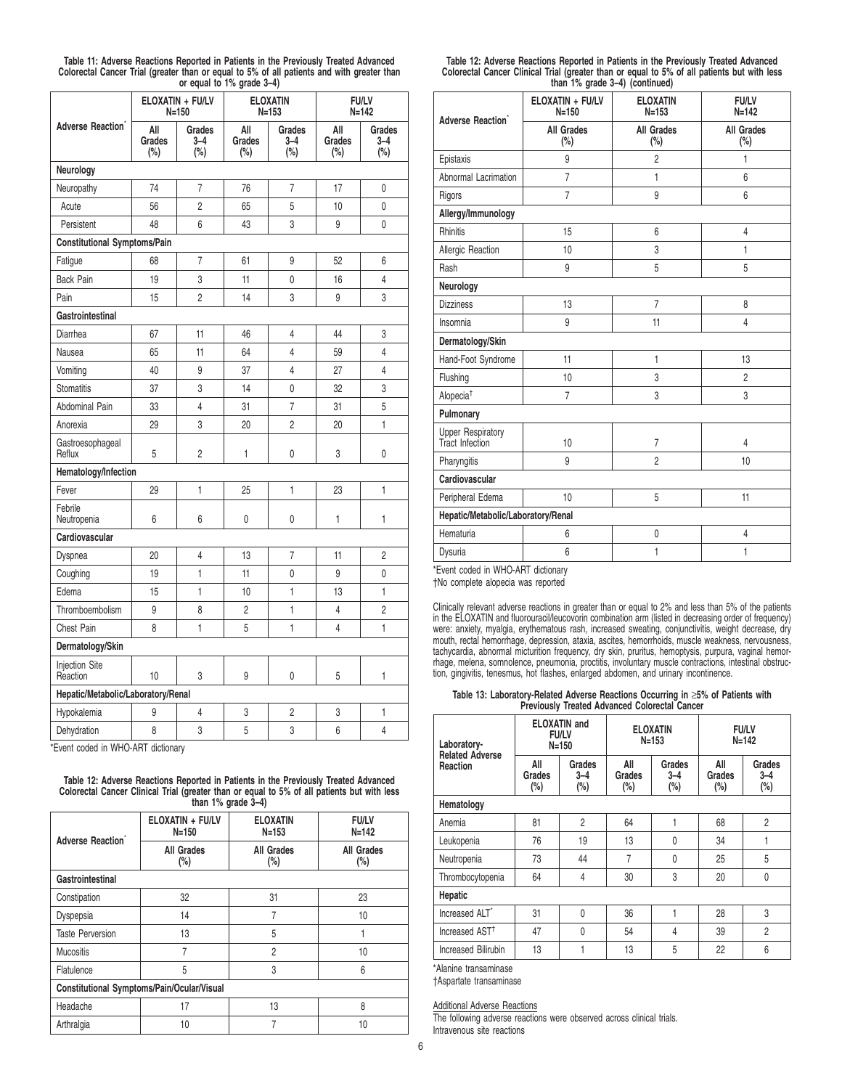**Table 11: Adverse Reactions Reported in Patients in the Previously Treated Advanced Colorectal Cancer Trial (greater than or equal to 5% of all patients and with greater than or equal to 1% grade 3–4)**

|                                    |                         | ELOXATIN + FU/LV<br>$N = 150$ |                         | <b>ELOXATIN</b><br>$N = 153$ |                         | <b>FU/LV</b><br>$N = 142$   |
|------------------------------------|-------------------------|-------------------------------|-------------------------|------------------------------|-------------------------|-----------------------------|
| Adverse Reaction <sup>®</sup>      | All<br>Grades<br>$(\%)$ | Grades<br>$3 - 4$<br>$(\%)$   | All<br>Grades<br>$(\%)$ | Grades<br>$3 - 4$<br>(%)     | All<br>Grades<br>$(\%)$ | Grades<br>$3 - 4$<br>$(\%)$ |
| Neurology                          |                         |                               |                         |                              |                         |                             |
| Neuropathy                         | 74                      | 7                             | 76                      | 7                            | 17                      | $\mathbf{0}$                |
| Acute                              | 56                      | $\overline{2}$                | 65                      | 5                            | 10                      | 0                           |
| Persistent                         | 48                      | 6                             | 43                      | 3                            | 9                       | 0                           |
| Constitutional Symptoms/Pain       |                         |                               |                         |                              |                         |                             |
| Fatigue                            | 68                      | 7                             | 61                      | 9                            | 52                      | 6                           |
| Back Pain                          | 19                      | 3                             | 11                      | 0                            | 16                      | 4                           |
| Pain                               | 15                      | $\overline{2}$                | 14                      | 3                            | 9                       | 3                           |
| Gastrointestinal                   |                         |                               |                         |                              |                         |                             |
| Diarrhea                           | 67                      | 11                            | 46                      | 4                            | 44                      | 3                           |
| Nausea                             | 65                      | 11                            | 64                      | 4                            | 59                      | $\overline{4}$              |
| Vomiting                           | 40                      | 9                             | 37                      | 4                            | 27                      | 4                           |
| <b>Stomatitis</b>                  | 37                      | 3                             | 14                      | 0                            | 32                      | 3                           |
| Abdominal Pain                     | 33                      | 4                             | 31                      | 7                            | 31                      | 5                           |
| Anorexia                           | 29                      | 3                             | 20                      | $\overline{2}$               | 20                      | 1                           |
| Gastroesophageal<br>Reflux         | 5                       | $\overline{2}$                | 1                       | 0                            | 3                       | 0                           |
| Hematology/Infection               |                         |                               |                         |                              |                         |                             |
| Fever                              | 29                      | 1                             | 25                      | 1                            | 23                      | 1                           |
| Febrile<br>Neutropenia             | 6                       | 6                             | 0                       | 0                            | 1                       | 1                           |
| Cardiovascular                     |                         |                               |                         |                              |                         |                             |
| Dyspnea                            | 20                      | 4                             | 13                      | $\overline{7}$               | 11                      | $\overline{2}$              |
| Coughing                           | 19                      | 1                             | 11                      | 0                            | 9                       | $\mathbf{0}$                |
| Edema                              | 15                      | 1                             | 10                      | 1                            | 13                      | 1                           |
| Thromboembolism                    | 9                       | 8                             | $\overline{2}$          | 1                            | 4                       | $\mathfrak{p}$              |
| <b>Chest Pain</b>                  | 8                       | 1                             | 5                       | 1                            | $\overline{4}$          | 1                           |
| Dermatology/Skin                   |                         |                               |                         |                              |                         |                             |
| <b>Injection Site</b><br>Reaction  | 10                      | 3                             | 9                       | 0                            | 5                       | 1                           |
| Hepatic/Metabolic/Laboratory/Renal |                         |                               |                         |                              |                         |                             |
| Hypokalemia                        | 9                       | 4                             | 3                       | 2                            | 3                       | 1                           |
| Dehydration                        | 8                       | 3                             | 5                       | 3                            | 6                       | $\overline{4}$              |

\*Event coded in WHO-ART dictionary

## **Table 12: Adverse Reactions Reported in Patients in the Previously Treated Advanced Colorectal Cancer Clinical Trial (greater than or equal to 5% of all patients but with less than 1% grade 3–4)**

| <b>Adverse Reaction</b>                    | ELOXATIN + FU/LV<br>$N = 150$ | <b>ELOXATIN</b><br>$N = 153$ | <b>FU/LV</b><br>$N = 142$   |  |
|--------------------------------------------|-------------------------------|------------------------------|-----------------------------|--|
|                                            | All Grades<br>$(\%)$          | All Grades<br>$(\%)$         | <b>All Grades</b><br>$(\%)$ |  |
| Gastrointestinal                           |                               |                              |                             |  |
| Constipation                               | 32                            | 31                           | 23                          |  |
| Dyspepsia                                  | 14                            | 7                            | 10                          |  |
| <b>Taste Perversion</b>                    | 13                            | 5                            |                             |  |
| <b>Mucositis</b>                           | 7                             | $\overline{2}$               | 10                          |  |
| Flatulence                                 | 5                             | 3<br>6                       |                             |  |
| Constitutional Symptoms/Pain/Ocular/Visual |                               |                              |                             |  |
| Headache                                   | 17                            | 13                           | 8                           |  |
| Arthralgia                                 | 10                            |                              | 10                          |  |

| Table 12: Adverse Reactions Reported in Patients in the Previously Treated Advanced         |
|---------------------------------------------------------------------------------------------|
| Colorectal Cancer Clinical Trial (greater than or equal to 5% of all patients but with less |
| than $1\%$ grade $3-4$ ) (continued)                                                        |

| Adverse Reaction <sup>*</sup>        | ELOXATIN + FU/LV<br>$N = 150$ | <b>ELOXATIN</b><br>$N = 153$ | <b>FU/LV</b><br>$N = 142$   |  |  |  |
|--------------------------------------|-------------------------------|------------------------------|-----------------------------|--|--|--|
|                                      | <b>All Grades</b><br>$(\%)$   | <b>All Grades</b><br>$(\%)$  | <b>All Grades</b><br>$(\%)$ |  |  |  |
| Epistaxis                            | 9                             | $\overline{2}$               | 1                           |  |  |  |
| Abnormal Lacrimation                 | $\overline{7}$                | 1                            | 6                           |  |  |  |
| Rigors                               | $\overline{7}$                | 9                            | 6                           |  |  |  |
| Allergy/Immunology                   |                               |                              |                             |  |  |  |
| <b>Rhinitis</b>                      | 15                            | 6                            | 4                           |  |  |  |
| Allergic Reaction                    | 10                            | 3                            | 1                           |  |  |  |
| Rash                                 | 9                             | 5                            | 5                           |  |  |  |
| Neurology                            |                               |                              |                             |  |  |  |
| <b>Dizziness</b>                     | 13                            | $\overline{7}$               | 8                           |  |  |  |
| Insomnia                             | 9                             | 11                           | 4                           |  |  |  |
| Dermatology/Skin                     |                               |                              |                             |  |  |  |
| Hand-Foot Syndrome                   | 11                            | $\mathbf{1}$                 | 13                          |  |  |  |
| Flushing                             | 10                            | 3                            | $\overline{2}$              |  |  |  |
| Alopecia <sup>†</sup>                | $\overline{7}$                | 3                            | 3                           |  |  |  |
| Pulmonary                            |                               |                              |                             |  |  |  |
| Upper Respiratory<br>Tract Infection | 10                            | $\overline{7}$               | $\overline{4}$              |  |  |  |
| Pharyngitis                          | 9                             | $\overline{c}$               | 10                          |  |  |  |
| Cardiovascular                       |                               |                              |                             |  |  |  |
| Peripheral Edema                     | 10                            | 5                            | 11                          |  |  |  |
| Hepatic/Metabolic/Laboratory/Renal   |                               |                              |                             |  |  |  |
| Hematuria                            | 6                             | 0                            | 4                           |  |  |  |
| <b>Dysuria</b>                       | 6                             | 1                            | 1                           |  |  |  |

\*Event coded in WHO-ART dictionary

†No complete alopecia was reported

Clinically relevant adverse reactions in greater than or equal to 2% and less than 5% of the patients<br>in the ELOXATIN and fluorouracil/leucovorin combination arm (listed in decreasing order of frequency)<br>were: anxiety, mya

## **Table 13: Laboratory-Related Adverse Reactions Occurring in** ≥**5% of Patients with Previously Treated Advanced Colorectal Cancer**

| Laboratory-<br><b>Related Adverse</b> | <b>ELOXATIN</b> and<br><b>FU/LV</b><br>$N = 150$ |                             | <b>ELOXATIN</b><br>$N = 153$ |                             | <b>FU/LV</b><br>$N = 142$ |                          |  |
|---------------------------------------|--------------------------------------------------|-----------------------------|------------------------------|-----------------------------|---------------------------|--------------------------|--|
| Reaction                              | All<br>Grades<br>$(\%)$                          | Grades<br>$3 - 4$<br>$(\%)$ | All<br>Grades<br>$(\%)$      | Grades<br>$3 - 4$<br>$(\%)$ | All<br>Grades<br>(%)      | Grades<br>$3 - 4$<br>(%) |  |
| Hematology                            |                                                  |                             |                              |                             |                           |                          |  |
| Anemia                                | 81                                               | $\overline{2}$              | 64                           | 1                           | 68                        | $\overline{2}$           |  |
| Leukopenia                            | 76                                               | 19                          | 13                           | $\mathbf{0}$                | 34                        | 1                        |  |
| Neutropenia                           | 73                                               | 44                          | 7                            | $\mathbf{0}$                | 25                        | 5                        |  |
| Thrombocytopenia                      | 64                                               | 4                           | 30                           | 3                           | 20                        | 0                        |  |
| Hepatic                               |                                                  |                             |                              |                             |                           |                          |  |
| Increased ALT <sup>*</sup>            | 31                                               | $\mathbf{0}$                | 36                           | 1                           | 28                        | 3                        |  |
| Increased AST <sup>+</sup>            | 47                                               | $\mathbf{0}$                | 54                           | $\overline{4}$              | 39                        | $\overline{2}$           |  |
| Increased Bilirubin                   | 13                                               |                             | 13                           | 5                           | 22                        | 6                        |  |

\*Alanine transaminase

†Aspartate transaminase

Additional Adverse Reactions

The following adverse reactions were observed across clinical trials. Intravenous site reactions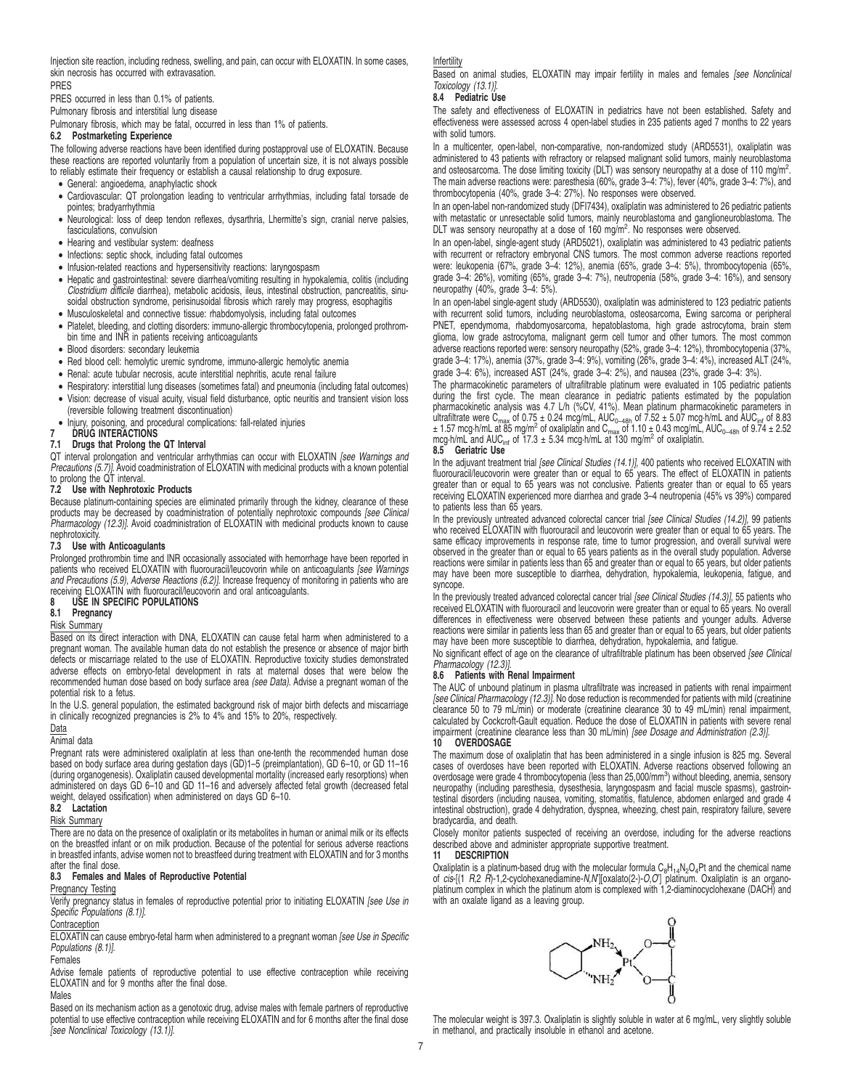Injection site reaction, including redness, swelling, and pain, can occur with ELOXATIN. In some cases, skin necrosis has occurred with extravasation.

#### PRES

PRES occurred in less than 0.1% of patients.

Pulmonary fibrosis and interstitial lung disease

Pulmonary fibrosis, which may be fatal, occurred in less than 1% of patients.

#### **6.2 Postmarketing Experience**

The following adverse reactions have been identified during postapproval use of ELOXATIN. Because these reactions are reported voluntarily from a population of uncertain size, it is not always possible to reliably estimate their frequency or establish a causal relationship to drug exposure.

- General: angioedema, anaphylactic shock
- Cardiovascular: QT prolongation leading to ventricular arrhythmias, including fatal torsade de pointes; bradyarrhythmia
- Neurological: loss of deep tendon reflexes, dysarthria, Lhermitte's sign, cranial nerve palsies, fasciculations, convulsion
- Hearing and vestibular system: deafness
- Infections: septic shock, including fatal outcomes
- Infusion-related reactions and hypersensitivity reactions: laryngospasm
- Hepatic and gastrointestinal: severe diarrhea/vomiting resulting in hypokalemia, colitis (including Clostridium difficile diarrhea), metabolic acidosis, ileus, intestinal obstruction, pancreatitis, sinusoidal obstruction syndrome, perisinusoidal fibrosis which rarely may progress, esophagitis
- Musculoskeletal and connective tissue: rhabdomyolysis, including fatal outcomes • Platelet, bleeding, and clotting disorders: immuno-allergic thrombocytopenia, prolonged prothrombin time and INR in patients receiving anticoagulants
- 
- Blood disorders: secondary leukemia
- Red blood cell: hemolytic uremic syndrome, immuno-allergic hemolytic anemia
- Renal: acute tubular necrosis, acute interstitial nephritis, acute renal failure
- Respiratory: interstitial lung diseases (sometimes fatal) and pneumonia (including fatal outcomes) • Vision: decrease of visual acuity, visual field disturbance, optic neuritis and transient vision loss (reversible following treatment discontinuation)
- Injury, poisoning, and procedural complications: fall-related injuries
- **7 DRUG INTERACTIONS**

#### **7.1 Drugs that Prolong the QT Interval**

QT interval prolongation and ventricular arrhythmias can occur with ELOXATIN [see Warnings and Precautions (5.7)]. Avoid coadministration of ELOXATIN with medicinal products with a known potential to prolong the QT interval.

#### **7.2 Use with Nephrotoxic Products**

Because platinum-containing species are eliminated primarily through the kidney, clearance of these<br>products may be decreased by coadministration of potentially nephrotoxic compounds *[see Clinical* Pharmacology (12.3)]. Avoid coadministration of ELOXATIN with medicinal products known to cause nephrotoxicity.

#### **7.3 Use with Anticoagulants**

Prolonged prothrombin time and INR occasionally associated with hemorrhage have been reported in patients who received ELOXATIN with fluorouracil/leucovorin while on anticoagulants [see Warnings and Precautions (5.9), Adverse Reactions (6.2)]. Increase frequency of monitoring in patients who are receiving ELOXATIN with fluorouracil/leucovorin and oral anticoagulants.

## **8 USE IN SPECIFIC POPULATIONS**

## **8.1 Pregnancy**

Risk Summary

Based on its direct interaction with DNA, ELOXATIN can cause fetal harm when administered to a pregnant woman. The available human data do not establish the presence or absence of major birth defects or miscarriage related to the use of ELOXATIN. Reproductive toxicity studies demonstrated adverse effects on embryo-fetal development in rats at maternal doses that were below the recommended human dose based on body surface area (see Data). Advise a pregnant woman of the potential risk to a fetus.

In the U.S. general population, the estimated background risk of major birth defects and miscarriage in clinically recognized pregnancies is 2% to 4% and 15% to 20%, respectively.

#### Data Animal data

Pregnant rats were administered oxaliplatin at less than one-tenth the recommended human dose based on body surface area during gestation days (GD)1–5 (preimplantation), GD 6–10, or GD 11–16 (during organogenesis). Oxaliplatin caused developmental mortality (increased early resorptions) when administered on days GD 6–10 and GD 11–16 and adversely affected fetal growth (decreased fetal weight, delayed ossification) when administered on days GD 6–10.

#### **8.2 Lactation**

Risk Summary

There are no data on the presence of oxaliplatin or its metabolites in human or animal milk or its effects on the breastfed infant or on milk production. Because of the potential for serious adverse reactions in breastfed infants, advise women not to breastfeed during treatment with ELOXATIN and for 3 months after the final dose.

#### **8.3 Females and Males of Reproductive Potential**

#### Pregnancy Testing

Verify pregnancy status in females of reproductive potential prior to initiating ELOXATIN [see Use in Specific Populations (8.1)].

#### Contraception

ELOXATIN can cause embryo-fetal harm when administered to a pregnant woman [see Use in Specific Populations (8.1)].

#### Females

Advise female patients of reproductive potential to use effective contraception while receiving ELOXATIN and for 9 months after the final dose.

#### Males

Based on its mechanism action as a genotoxic drug, advise males with female partners of reproductive potential to use effective contraception while receiving ELOXATIN and for 6 months after the final dose [see Nonclinical Toxicology (13.1)].

**Infertility** 

Based on animal studies, ELOXATIN may impair fertility in males and females [see Nonclinical Toxicology (13.1)].

#### **8.4 Pediatric Use**

The safety and effectiveness of ELOXATIN in pediatrics have not been established. Safety and effectiveness were assessed across 4 open-label studies in 235 patients aged 7 months to 22 years with solid tumors.

In a multicenter, open-label, non-comparative, non-randomized study (ARD5531), oxaliplatin was administered to 43 patients with refractory or relapsed malignant solid tumors, mainly neuroblastoma and osteosarcoma. The dose limiting toxicity (DLT) was sensory neuropathy at a dose of 110 mg/m<sup>2</sup>. The main adverse reactions were: paresthesia (60%, grade 3–4: 7%), fever (40%, grade 3–4: 7%), and thrombocytopenia (40%, grade 3–4: 27%). No responses were observed.

In an open-label non-randomized study (DFI7434), oxaliplatin was administered to 26 pediatric patients with metastatic or unresectable solid tumors, mainly neuroblastoma and ganglioneuroblastoma. The DLT was sensory neuropathy at a dose of 160 mg/m<sup>2</sup>. No responses were observed.

In an open-label, single-agent study (ARD5021), oxaliplatin was administered to 43 pediatric patients with recurrent or refractory embryonal CNS tumors. The most common adverse reactions reported were: leukopenia (67%, grade 3–4: 12%), anemia (65%, grade 3–4: 5%), thrombocytopenia (65%, grade 3–4: 26%), vomiting (65%, grade 3–4: 7%), neutropenia (58%, grade 3–4: 16%), and sensory neuropathy (40%, grade 3–4: 5%).

In an open-label single-agent study (ARD5530), oxaliplatin was administered to 123 pediatric patients with recurrent solid tumors, including neuroblastoma, osteosarcoma, Ewing sarcoma or peripheral PNET, ependymoma, rhabdomyosarcoma, hepatoblastoma, high grade astrocytoma, brain stem glioma, low grade astrocytoma, malignant germ cell tumor and other tumors. The most common adverse reactions reported were: sensory neuropathy (52%, grade 3–4: 12%), thrombocytopenia (37%, grade 3–4: 17%), anemia (37%, grade 3–4: 9%), vomiting (26%, grade 3–4: 4%), increased ALT (24%, grade 3–4: 6%), increased AST (24%, grade 3–4: 2%), and nausea (23%, grade 3–4: 3%).

The pharmacokinetic parameters of ultrafiltrable platinum were evaluated in 105 pediatric patients during the first cycle. The mean clearance in pediatric patients estimated by the population pharmacokinetic analysis was 4.7 L/h (%CV, 41%). Mean platinum pharmacokinetic parameters in ultrafiltrate were C<sub>max</sub> of 0.75 ± 0.24 mcg/mL, AUC<sub>0–48h</sub> of 7.52 ± 5.07 mcg·h/mL and AUC<sub>inf</sub> of 8.83<br>± 1.57 mcg·h/mL at 85 mg/m<sup>2</sup> of oxaliplatin and C<sub>max</sub> of 1.10 ± 0.43 mcg/mL, AUC<sub>0–48h</sub> of 9.74 ± 2.52<br>mcg·h/mL and

#### **8.5 Geriatric Use**

In the adjuvant treatment trial [see Clinical Studies (14.1)], 400 patients who received ELOXATIN with fluorouracil/leucovorin were greater than or equal to 65 years. The effect of ELOXATIN in patients greater than or equal to 65 years was not conclusive. Patients greater than or equal to 65 years receiving ELOXATIN experienced more diarrhea and grade 3–4 neutropenia (45% vs 39%) compared to patients less than 65 years.

In the previously untreated advanced colorectal cancer trial [see Clinical Studies (14.2)], 99 patients who received ELOXATIN with fluorouracil and leucovorin were greater than or equal to 65 years. The same efficacy improvements in response rate, time to tumor progression, and overall survival were observed in the greater than or equal to 65 years patients as in the overall study population. Adverse reactions were similar in patients less than 65 and greater than or equal to 65 years, but older patients may have been more susceptible to diarrhea, dehydration, hypokalemia, leukopenia, fatigue, and syncope.

In the previously treated advanced colorectal cancer trial [see Clinical Studies (14.3)], 55 patients who received ELOXATIN with fluorouracil and leucovorin were greater than or equal to 65 years. No overall differences in effectiveness were observed between these patients and younger adults. Adverse reactions were similar in patients less than 65 and greater than or equal to 65 years, but older patients may have been more susceptible to diarrhea, dehydration, hypokalemia, and fatigue.

No significant effect of age on the clearance of ultrafiltrable platinum has been observed [see Clinical Pharmacology (12.3)].

#### **8.6 Patients with Renal Impairment**

The AUC of unbound platinum in plasma ultrafiltrate was increased in patients with renal impairment [see Clinical Pharmacology (12.3)]. No dose reduction is recommended for patients with mild (creatinine clearance 50 to 79 mL/min) or moderate (creatinine clearance 30 to 49 mL/min) renal impairment, calculated by Cockcroft-Gault equation. Reduce the dose of ELOXATIN in patients with severe renal impairment (creatinine clearance less than 30 mL/min) [see Dosage and Administration (2.3)].

#### **10 OVERDOSAGE**

The maximum dose of oxaliplatin that has been administered in a single infusion is 825 mg. Several cases of overdoses have been reported with ELOXATIN. Adverse reactions observed following an<br>overdosage were grade 4 thrombocytopenia (less than 25,000/mm<sup>3</sup>) without bleeding, anemia, sensory neuropathy (including paresthesia, dysesthesia, laryngospasm and facial muscle spasms), gastroin-testinal disorders (including nausea, vomiting, stomatitis, flatulence, abdomen enlarged and grade 4 intestinal obstruction), grade 4 dehydration, dyspnea, wheezing, chest pain, respiratory failure, severe bradycardia, and death.

Closely monitor patients suspected of receiving an overdose, including for the adverse reactions described above and administer appropriate supportive treatment.<br>11 DESCRIPTION

#### **11 DESCRIPTION**

Oxaliplatin is a platinum-based drug with the molecular formula  $C_8H_{14}N_2O_4Pt$  and the chemical name of *cis*-[(1 R,2 R)-1,2-cyclohexanediamine-N,N][oxalato(2-)-O,O'] platinum. Oxaliplatin is an organo-<br>platinum complex in which the platinum atom is complexed with 1,2-diaminocyclohexane (DACH) and with an oxalate ligand as a leaving group.



The molecular weight is 397.3. Oxaliplatin is slightly soluble in water at 6 mg/mL, very slightly soluble in methanol, and practically insoluble in ethanol and acetone.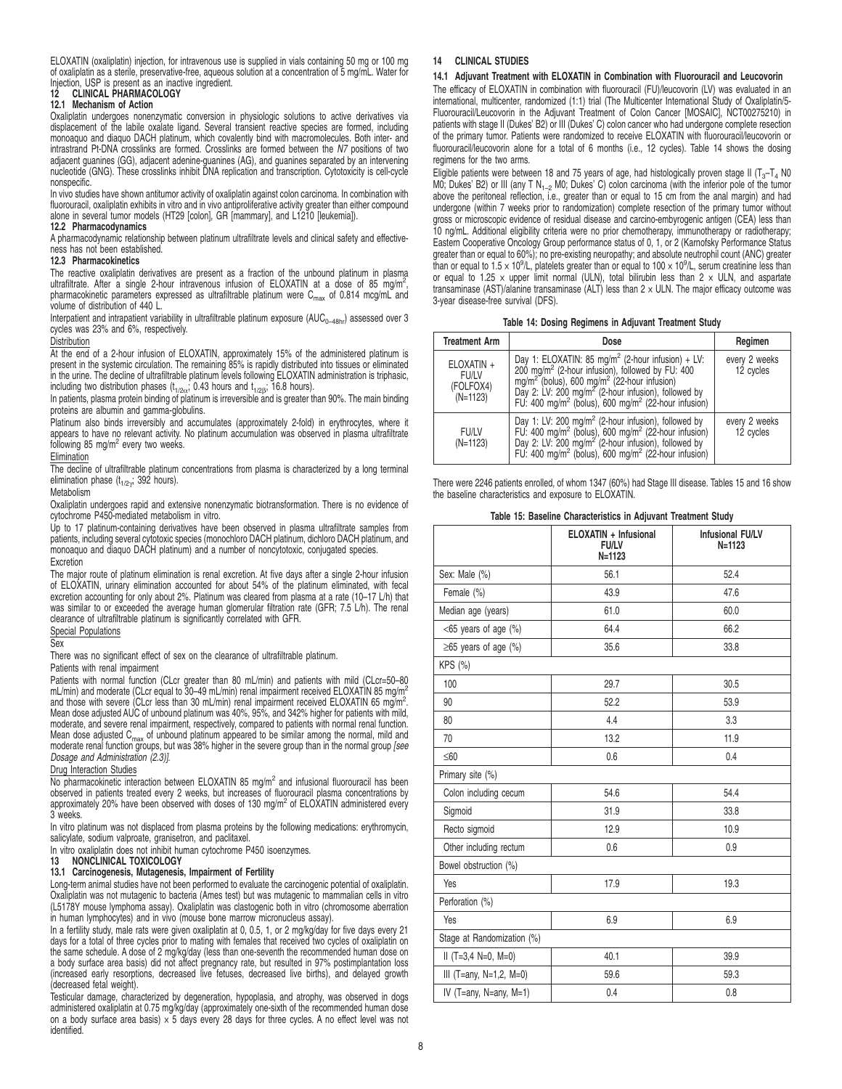ELOXATIN (oxaliplatin) injection, for intravenous use is supplied in vials containing 50 mg or 100 mg of oxaliplatin as a sterile, preservative-free, aqueous solution at a concentration of 5 mg/mL. Water for Injection, USP is present as an inactive ingredient.

#### **12 CLINICAL PHARMACOLOGY**

#### **12.1 Mechanism of Action**

Oxaliplatin undergoes nonenzymatic conversion in physiologic solutions to active derivatives via displacement of the labile oxalate ligand. Several transient reactive species are formed, including monoaquo and diaquo DACH platinum, which covalently bind with macromolecules. Both inter- and intrastrand Pt-DNA crosslinks are formed. Crosslinks are formed between the N7 positions of two<br>adjacent guanines (GG), adjacent adenine-guanines (AG), and guanines separated by an intervening<br>nucleotide (GNG). These cross nonspecific.

In vivo studies have shown antitumor activity of oxaliplatin against colon carcinoma. In combination with<br>fluorouracil, oxaliplatin exhibits in vitro and in vivo antiproliferative activity greater than either compound<br>alon

#### **12.2 Pharmacodynamics**

A pharmacodynamic relationship between platinum ultrafiltrate levels and clinical safety and effectiveness has not been established.

#### **12.3 Pharmacokinetics**

The reactive oxaliplatin derivatives are present as a fraction of the unbound platinum in plasma ultrafiltrate. After a single 2-hour intravenous infusion of ELOXATIN at a dose of 85 mg/m<sup>2</sup>, pharmacokinetic parameters expressed as ultrafiltrable platinum were  $C_{\text{max}}$  of 0.814 mcg/mL and volume of distribution of 440 L.

Interpatient and intrapatient variability in ultrafiltrable platinum exposure ( $AUC_{0-48hr}$ ) assessed over 3 cycles was 23% and 6%, respectively.

#### **Distribution**

At the end of a 2-hour infusion of ELOXATIN, approximately 15% of the administered platinum is present in the systemic circulation. The remaining 85% is rapidly distributed into tissues or eliminated in the urine. The decline of ultrafiltrable platinum levels following ELOXATIN administration is triphasic, including two distribution phases ( $t_{1/2\alpha}$ ; 0.43 hours and  $t_{1/2\beta}$ ; 16.8 hours).

In patients, plasma protein binding of platinum is irreversible and is greater than 90%. The main binding proteins are albumin and gamma-globulins.

Platinum also binds irreversibly and accumulates (approximately 2-fold) in erythrocytes, where it appears to have no relevant activity. No platinum accumulation was observed in plasma ultrafiltrate following 85 mg/m<sup>2</sup> every two weeks.

#### Elimination

The decline of ultrafiltrable platinum concentrations from plasma is characterized by a long terminal elimination phase ( $t_{1/2\gamma}$ ; 392 hours).

#### Metabolism

Oxaliplatin undergoes rapid and extensive nonenzymatic biotransformation. There is no evidence of cytochrome P450-mediated metabolism in vitro.

Up to 17 platinum-containing derivatives have been observed in plasma ultrafiltrate samples from patients, including several cytotoxic species (monochloro DACH platinum, dichloro DACH platinum, and monoaquo and diaquo DACH platinum) and a number of noncytotoxic, conjugated species. **Excretion** 

The major route of platinum elimination is renal excretion. At five days after a single 2-hour infusion of ELOXATIN, urinary elimination accounted for about 54% of the platinum eliminated, with fecal excretion accounting for only about 2%. Platinum was cleared from plasma at a rate (10–17 L/h) that was similar to or exceeded the average human glomerular filtration rate (GFR; 7.5 L/h). The renal clearance of ultrafiltrable platinum is significantly correlated with GFR.

#### Special Populations

Sex

There was no significant effect of sex on the clearance of ultrafiltrable platinum.

#### Patients with renal impairment

Patients with normal function (CLcr greater than 80 mL/min) and patients with mild (CLcr=50-80 mL/min) and moderate (CLcr equal to 30–49 mL/min) renal impairment received ELOXATIN 85 mg/m<sup>2</sup> and those with severe (CLcr less than 30 mL/min) renal impairment received ELOXATIN 65 mg/m<sup>2</sup> and those with severe (CLcr less than 30 mL/min) renal impairment received ELOXATIN 65 mg/m².<br>Mean dose adjusted AUC of unbound platinum was 40%, 95%, and 342% higher for patients with mild, moderate, and severe renal impairment, respectively, compared to patients with normal renal function. Mean dose adjusted  $C_{\text{max}}$  of unbound platinum appeared to be similar among the normal, mild and moderate renal function groups, but was 38% higher in the severe group than in the normal group [see Dosage and Administration (2.3)].

#### Drug Interaction Studies

No pharmacokinetic interaction between ELOXATIN 85 mg/m<sup>2</sup> and infusional fluorouracil has been<br>observed in patients treated every 2 weeks, but increases of fluorouracil plasma concentrations by approximately 20% have been observed with doses of 130 mg/m<sup>2</sup> of ELOXATIN administered every 3 weeks.

In vitro platinum was not displaced from plasma proteins by the following medications: erythromycin, salicylate, sodium valproate, granisetron, and paclitaxel.

In vitro oxaliplatin does not inhibit human cytochrome P450 isoenzymes.

#### **13 NONCLINICAL TOXICOLOGY**

## **13.1 Carcinogenesis, Mutagenesis, Impairment of Fertility**

Long-term animal studies have not been performed to evaluate the carcinogenic potential of oxaliplatin. Oxaliplatin was not mutagenic to bacteria (Ames test) but was mutagenic to mammalian cells in vitro (L5178Y mouse lymphoma assay). Oxaliplatin was clastogenic both in vitro (chromosome aberration in human lymphocytes) and in vivo (mouse bone marrow micronucleus assay).

In a fertility study, male rats were given oxaliplatin at 0, 0.5, 1, or 2 mg/kg/day for five days every 21 days for a total of three cycles prior to mating with females that received two cycles of oxaliplatin on the same schedule. A dose of 2 mg/kg/day (less than one-seventh the recommended human dose on a body surface area basis) did not affect pregnancy rate, but resulted in 97% postimplantation loss (increased early resorptions, decreased live fetuses, decreased live births), and delayed growth (decreased fetal weight).

Testicular damage, characterized by degeneration, hypoplasia, and atrophy, was observed in dogs administered oxaliplatin at 0.75 mg/kg/day (approximately one-sixth of the recommended human dose on a body surface area basis)  $\times$  5 days every 28 days for three cycles. A no effect level was not identified.

#### **14 CLINICAL STUDIES**

#### **14.1 Adjuvant Treatment with ELOXATIN in Combination with Fluorouracil and Leucovorin**

The efficacy of ELOXATIN in combination with fluorouracil (FU)/leucovorin (LV) was evaluated in an international, multicenter, randomized (1:1) trial (The Multicenter International Study of Oxaliplatin/5- Fluorouracil/Leucovorin in the Adjuvant Treatment of Colon Cancer [MOSAIC], NCT00275210) in patients with stage II (Dukes' B2) or III (Dukes' C) colon cancer who had undergone complete resection of the primary tumor. Patients were randomized to receive ELOXATIN with fluorouracil/leucovorin or fluorouracil/leucovorin alone for a total of 6 months (i.e., 12 cycles). Table 14 shows the dosing regimens for the two arms.

Eligible patients were between 18 and 75 years of age, had histologically proven stage II ( $T_3$ – $T_4$  N0 M0; Dukes' B2) or III (any T  $N_{1-2}$  M0; Dukes' C) colon carcinoma (with the inferior pole of the tumor above the peritoneal reflection, i.e., greater than or equal to 15 cm from the anal margin) and had undergone (within 7 weeks prior to randomization) complete resection of the primary tumor without gross or microscopic evidence of residual disease and carcino-embyrogenic antigen (CEA) less than 10 ng/mL. Additional eligibility criteria were no prior chemotherapy, immunotherapy or radiotherapy; Eastern Cooperative Oncology Group performance status of 0, 1, or 2 (Karnofsky Performance Status greater than or equal to 60%); no pre-existing neuropathy; and absolute neutrophil count (ANC) greater than or equal to 1.5  $\times$  10<sup>9</sup>/L, platelets greater than or equal to 100  $\times$  10<sup>9</sup>/L, serum creatinine less than or equal to 1.25  $\times$  upper limit normal (ULN), total bilirubin less than 2  $\times$  ULN, and aspartate transaminase (AST)/alanine transaminase (ALT) less than  $2 \times ULN$ . The major efficacy outcome was 3-year disease-free survival (DFS).

|  | Table 14: Dosing Regimens in Adjuvant Treatment Study |  |  |
|--|-------------------------------------------------------|--|--|
|  |                                                       |  |  |

| <b>Treatment Arm</b>                                  | Dose                                                                                                                                                                                                                                                                                                                                                   | Regimen                    |
|-------------------------------------------------------|--------------------------------------------------------------------------------------------------------------------------------------------------------------------------------------------------------------------------------------------------------------------------------------------------------------------------------------------------------|----------------------------|
| ELOXATIN +<br><b>FU/LV</b><br>(FOLFOX4)<br>$(N=1123)$ | Day 1: ELOXATIN: 85 mg/m <sup>2</sup> (2-hour infusion) + LV:<br>200 mg/m <sup>2</sup> (2-hour infusion), followed by FU: 400<br>mg/m <sup>2</sup> (bolus), 600 mg/m <sup>2</sup> (22-hour infusion)<br>Day 2: LV: 200 mg/m <sup>2</sup> (2-hour infusion), followed by<br>FU: 400 mg/m <sup>2</sup> (bolus), 600 mg/m <sup>2</sup> (22-hour infusion) | every 2 weeks<br>12 cycles |
| <b>FU/LV</b><br>$(N=1123)$                            | Day 1: LV: 200 mg/m <sup>2</sup> (2-hour infusion), followed by FU: 400 mg/m <sup>2</sup> (bolus), 600 mg/m <sup>2</sup> (22-hour infusion) Day 2: LV: 200 mg/m <sup>2</sup> (2-hour infusion), followed by FU: 400 mg/m <sup>2</sup> (bolus), 600 mg/m <sup>2</sup> (22-hour infusion)                                                                | every 2 weeks<br>12 cycles |

There were 2246 patients enrolled, of whom 1347 (60%) had Stage III disease. Tables 15 and 16 show the baseline characteristics and exposure to ELOXATIN.

|  |  |  | Table 15: Baseline Characteristics in Adjuvant Treatment Study |  |  |  |  |
|--|--|--|----------------------------------------------------------------|--|--|--|--|
|--|--|--|----------------------------------------------------------------|--|--|--|--|

|                            | ELOXATIN + Infusional<br><b>FU/LV</b><br>$N = 1123$ | <b>Infusional FU/LV</b><br>$N = 1123$ |
|----------------------------|-----------------------------------------------------|---------------------------------------|
| Sex: Male (%)              | 56.1                                                | 52.4                                  |
| Female (%)                 | 43.9                                                | 47.6                                  |
| Median age (years)         | 61.0                                                | 60.0                                  |
| $<$ 65 years of age $(\%)$ | 64.4                                                | 66.2                                  |
| $\geq$ 65 years of age (%) | 35.6                                                | 33.8                                  |
| KPS (%)                    |                                                     |                                       |
| 100                        | 29.7                                                | 30.5                                  |
| 90                         | 52.2                                                | 53.9                                  |
| 80                         | 4.4                                                 | 3.3                                   |
| 70                         | 13.2                                                | 11.9                                  |
| $\leq 60$                  | 0.6                                                 | 0.4                                   |
| Primary site (%)           |                                                     |                                       |
| Colon including cecum      | 54.6                                                | 54.4                                  |
| Sigmoid                    | 31.9                                                | 33.8                                  |
| Recto sigmoid              | 12.9                                                | 10.9                                  |
| Other including rectum     | 0.6                                                 | 0.9                                   |
| Bowel obstruction (%)      |                                                     |                                       |
| Yes                        | 17.9                                                | 19.3                                  |
| Perforation (%)            |                                                     |                                       |
| Yes                        | 6.9                                                 | 6.9                                   |
| Stage at Randomization (%) |                                                     |                                       |
| $II$ (T=3.4 N=0, M=0)      | 40.1                                                | 39.9                                  |
| III (T=any, N=1,2, M=0)    | 59.6                                                | 59.3                                  |
| IV $(T=any, N=any, M=1)$   | 0.4                                                 | 0.8                                   |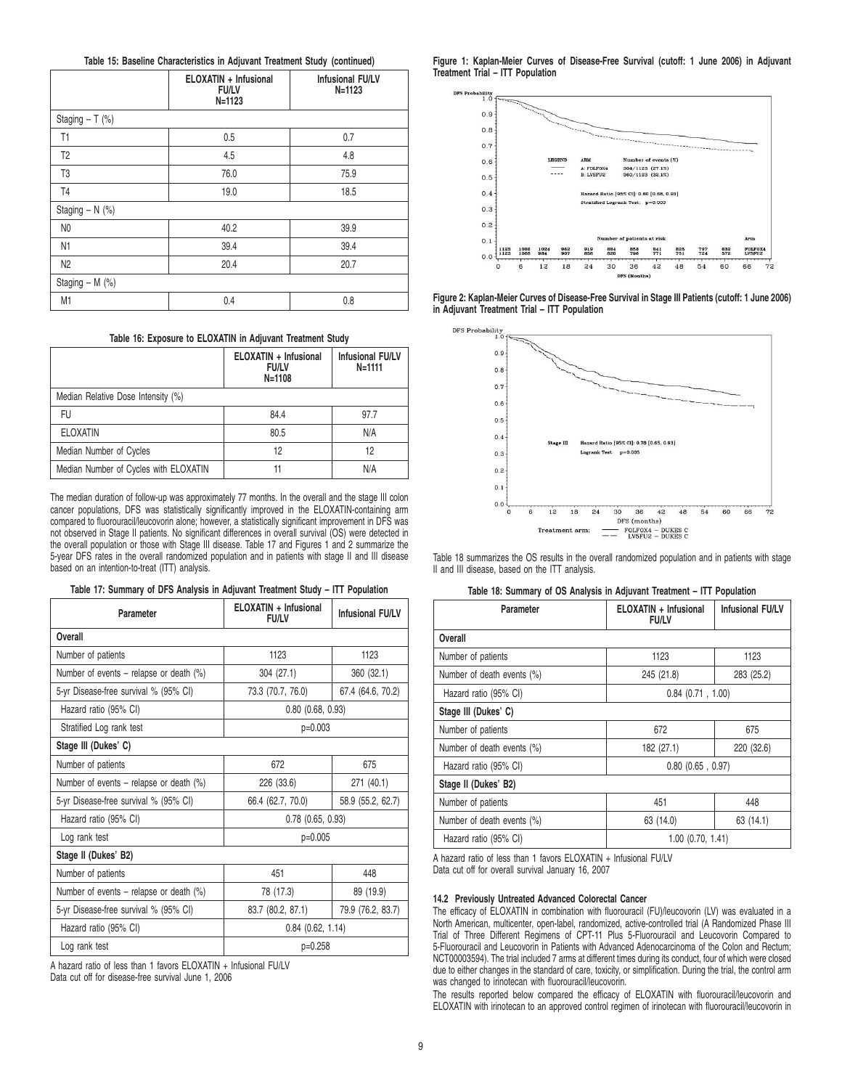|  |  |  | Table 15: Baseline Characteristics in Adjuvant Treatment Study (continued) |  |  |  |  |  |  |  |
|--|--|--|----------------------------------------------------------------------------|--|--|--|--|--|--|--|
|--|--|--|----------------------------------------------------------------------------|--|--|--|--|--|--|--|

|                   | ELOXATIN + Infusional<br><b>FU/LV</b><br>$N = 1123$ | <b>Infusional FU/LV</b><br>$N = 1123$ |
|-------------------|-----------------------------------------------------|---------------------------------------|
| Staging $- T$ (%) |                                                     |                                       |
| T1                | 0.5                                                 | 0.7                                   |
| T <sub>2</sub>    | 4.5                                                 | 4.8                                   |
| T3                | 76.0                                                | 75.9                                  |
| T <sub>4</sub>    | 19.0                                                | 18.5                                  |
| Staging $- N$ (%) |                                                     |                                       |
| N <sub>0</sub>    | 40.2                                                | 39.9                                  |
| N1                | 39.4                                                | 39.4                                  |
| N <sub>2</sub>    | 20.4                                                | 20.7                                  |
| Staging $- M$ (%) |                                                     |                                       |
| M1                | 0.4                                                 | 0.8                                   |

**Table 16: Exposure to ELOXATIN in Adjuvant Treatment Study**

|                                       | ELOXATIN + Infusional<br><b>FU/LV</b><br>$N = 1108$ | <b>Infusional FU/LV</b><br>$N = 1111$ |
|---------------------------------------|-----------------------------------------------------|---------------------------------------|
| Median Relative Dose Intensity (%)    |                                                     |                                       |
| FU                                    | 84.4                                                | 97.7                                  |
| <b>ELOXATIN</b>                       | 80.5                                                | N/A                                   |
| Median Number of Cycles               | 12                                                  | 12                                    |
| Median Number of Cycles with ELOXATIN |                                                     | N/A                                   |

The median duration of follow-up was approximately 77 months. In the overall and the stage III colon cancer populations, DFS was statistically significantly improved in the ELOXATIN-containing arm compared to fluorouracil/leucovorin alone; however, a statistically significant improvement in DFS was not observed in Stage II patients. No significant differences in overall survival (OS) were detected in the overall population or those with Stage III disease. Table 17 and Figures 1 and 2 summarize the 5-year DFS rates in the overall randomized population and in patients with stage II and III disease based on an intention-to-treat (ITT) analysis.

#### **Table 17: Summary of DFS Analysis in Adjuvant Treatment Study – ITT Population**

| Parameter                                      | ELOXATIN + Infusional<br><b>Infusional FU/LV</b><br><b>FU/LV</b> |                   |  |
|------------------------------------------------|------------------------------------------------------------------|-------------------|--|
| Overall                                        |                                                                  |                   |  |
| Number of patients                             | 1123                                                             | 1123              |  |
| Number of events – relapse or death $(\%)$     | 304 (27.1)                                                       | 360 (32.1)        |  |
| 5-yr Disease-free survival % (95% CI)          | 73.3 (70.7, 76.0)                                                | 67.4 (64.6, 70.2) |  |
| Hazard ratio (95% CI)                          | $0.80$ $(0.68, 0.93)$                                            |                   |  |
| Stratified Log rank test                       | $p=0.003$                                                        |                   |  |
| Stage III (Dukes' C)                           |                                                                  |                   |  |
| Number of patients                             | 672                                                              | 675               |  |
| Number of events – relapse or death $(\%)$     | 226 (33.6)                                                       | 271 (40.1)        |  |
| 5-yr Disease-free survival % (95% CI)          | 66.4 (62.7, 70.0)                                                | 58.9 (55.2, 62.7) |  |
| Hazard ratio (95% CI)                          | $0.78$ $(0.65, 0.93)$                                            |                   |  |
| Log rank test                                  | p=0.005                                                          |                   |  |
| Stage II (Dukes' B2)                           |                                                                  |                   |  |
| Number of patients                             | 451                                                              | 448               |  |
| Number of events – relapse or death $(\%)$     | 78 (17.3)                                                        | 89 (19.9)         |  |
| 5-yr Disease-free survival % (95% CI)          | 83.7 (80.2, 87.1)                                                | 79.9 (76.2, 83.7) |  |
| Hazard ratio (95% CI)<br>$0.84$ $(0.62, 1.14)$ |                                                                  |                   |  |
| Log rank test                                  | $p=0.258$                                                        |                   |  |

A hazard ratio of less than 1 favors ELOXATIN + Infusional FU/LV Data cut off for disease-free survival June 1, 2006

**Figure 1: Kaplan-Meier Curves of Disease-Free Survival (cutoff: 1 June 2006) in Adjuvant Treatment Trial – ITT Population**







Table 18 summarizes the OS results in the overall randomized population and in patients with stage II and III disease, based on the ITT analysis.

|  |  |  | Table 18: Summary of OS Analysis in Adjuvant Treatment - ITT Population |
|--|--|--|-------------------------------------------------------------------------|
|--|--|--|-------------------------------------------------------------------------|

| Parameter                  | <b>ELOXATIN + Infusional</b><br><b>FU/LV</b> | <b>Infusional FU/LV</b> |  |  |
|----------------------------|----------------------------------------------|-------------------------|--|--|
| Overall                    |                                              |                         |  |  |
| Number of patients         | 1123                                         | 1123                    |  |  |
| Number of death events (%) | 245 (21.8)                                   | 283 (25.2)              |  |  |
| Hazard ratio (95% CI)      | $0.84$ $(0.71, 1.00)$                        |                         |  |  |
| Stage III (Dukes' C)       |                                              |                         |  |  |
| Number of patients         | 672                                          | 675                     |  |  |
| Number of death events (%) | 182 (27.1)                                   | 220 (32.6)              |  |  |
| Hazard ratio (95% CI)      | $0.80$ $(0.65, 0.97)$                        |                         |  |  |
| Stage II (Dukes' B2)       |                                              |                         |  |  |
| Number of patients         | 451                                          | 448                     |  |  |
| Number of death events (%) | 63 (14.0)                                    | 63 (14.1)               |  |  |
| Hazard ratio (95% CI)      | 1.00 (0.70, 1.41)                            |                         |  |  |

A hazard ratio of less than 1 favors ELOXATIN + Infusional FU/LV

Data cut off for overall survival January 16, 2007

#### **14.2 Previously Untreated Advanced Colorectal Cancer**

The efficacy of ELOXATIN in combination with fluorouracil (FU)/leucovorin (LV) was evaluated in a North American, multicenter, open-label, randomized, active-controlled trial (A Randomized Phase III Trial of Three Different Regimens of CPT-11 Plus 5-Fluorouracil and Leucovorin Compared to 5-Fluorouracil and Leucovorin in Patients with Advanced Adenocarcinoma of the Colon and Rectum; NCT00003594). The trial included 7 arms at different times during its conduct, four of which were closed due to either changes in the standard of care, toxicity, or simplification. During the trial, the control arm was changed to irinotecan with fluorouracil/leucovorin.

The results reported below compared the efficacy of ELOXATIN with fluorouracil/leucovorin and ELOXATIN with irinotecan to an approved control regimen of irinotecan with fluorouracil/leucovorin in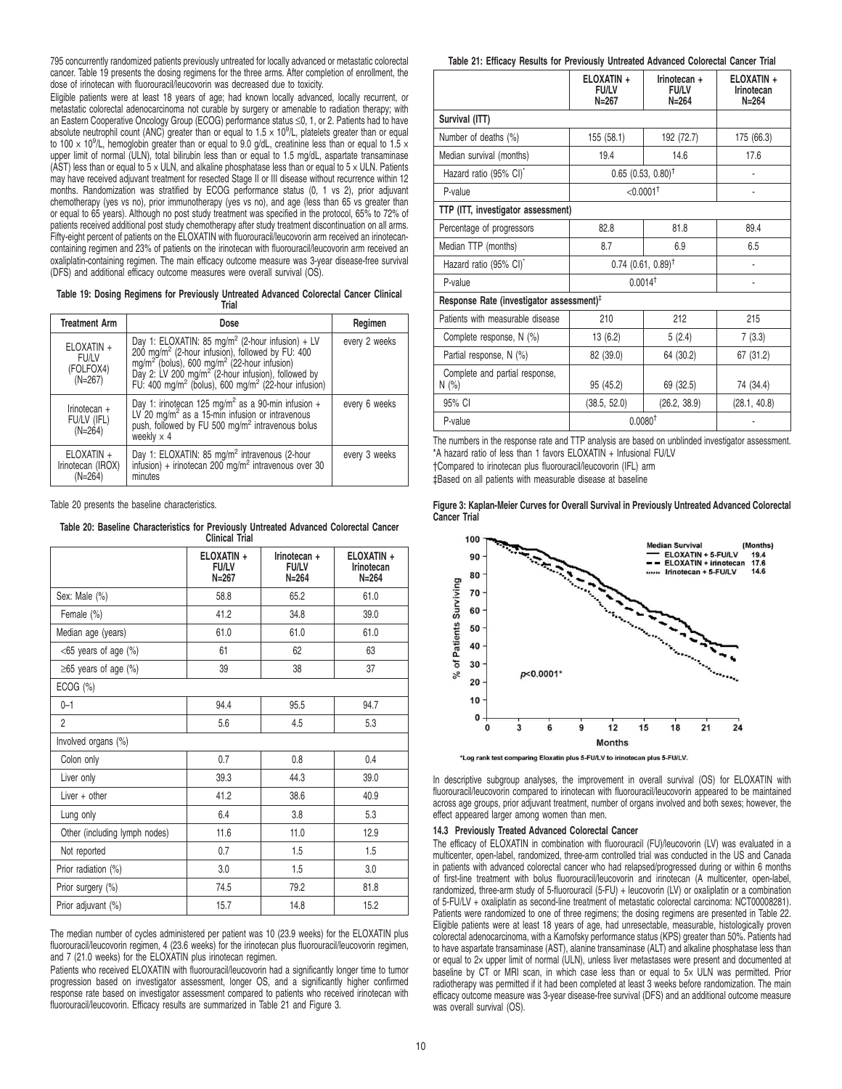795 concurrently randomized patients previously untreated for locally advanced or metastatic colorectal cancer. Table 19 presents the dosing regimens for the three arms. After completion of enrollment, the dose of irinotecan with fluorouracil/leucovorin was decreased due to toxicity.

Eligible patients were at least 18 years of age; had known locally advanced, locally recurrent, or metastatic colorectal adenocarcinoma not curable by surgery or amenable to radiation therapy; with an Eastern Cooperative Oncology Group (ECOG) performance status ≤0, 1, or 2. Patients had to have absolute neutrophil count (ANC) greater than or equal to 1.5  $\times$  10<sup>9</sup>/L, platelets greater than or equal to 100 x 10<sup>9</sup>/L, hemoglobin greater than or equal to 9.0 g/dL, creatinine less than or equal to 1.5 x upper limit of normal (ULN), total bilirubin less than or equal to 1.5 mg/dL, aspartate transaminase (AST) less than or equal to  $5 \times$  ULN, and alkaline phosphatase less than or equal to  $5 \times$  ULN. Patients may have received adjuvant treatment for resected Stage II or III disease without recurrence within 12 months. Randomization was stratified by ECOG performance status (0, 1 vs 2), prior adjuvant chemotherapy (yes vs no), prior immunotherapy (yes vs no), and age (less than 65 vs greater than or equal to 65 years). Although no post study treatment was specified in the protocol, 65% to 72% of patients received additional post study chemotherapy after study treatment discontinuation on all arms. Fifty-eight percent of patients on the ELOXATIN with fluorouracil/leucovorin arm received an irinotecancontaining regimen and 23% of patients on the irinotecan with fluorouracil/leucovorin arm received an oxaliplatin-containing regimen. The main efficacy outcome measure was 3-year disease-free survival (DFS) and additional efficacy outcome measures were overall survival (OS).

|  |  | Table 19: Dosing Regimens for Previously Untreated Advanced Colorectal Cancer Clinical |       |  |  |
|--|--|----------------------------------------------------------------------------------------|-------|--|--|
|  |  |                                                                                        | Trial |  |  |

| <b>Treatment Arm</b>                          | Dose                                                                                                                                                                                                                                                                                                                                                 | Regimen       |  |  |  |
|-----------------------------------------------|------------------------------------------------------------------------------------------------------------------------------------------------------------------------------------------------------------------------------------------------------------------------------------------------------------------------------------------------------|---------------|--|--|--|
| ELOXATIN +<br>FU/LV<br>(FOLFOX4)<br>$(N=267)$ | Day 1: ELOXATIN: 85 mg/m <sup>2</sup> (2-hour infusion) + LV<br>200 mg/m <sup>2</sup> (2-hour infusion), followed by FU: 400<br>mg/m <sup>2</sup> (bolus), 600 mg/m <sup>2</sup> (22-hour infusion)<br>Day 2: LV 200 mg/m <sup>2</sup> (2-hour infusion), followed by<br>FU: 400 mg/m <sup>2</sup> (bolus), 600 mg/m <sup>2</sup> (22-hour infusion) | every 2 weeks |  |  |  |
| $Irinotecan +$<br>FU/LV (IFL)<br>$(N=264)$    | Day 1: irinotecan 125 mg/m <sup>2</sup> as a 90-min infusion + LV 20 mg/m <sup>2</sup> as a 15-min infusion or intravenous<br>push, followed by FU 500 mg/m <sup>2</sup> intravenous bolus<br>weekly $\times$ 4                                                                                                                                      | every 6 weeks |  |  |  |
| ELOXATIN +<br>Irinotecan (IROX)<br>$(N=264)$  | Day 1: ELOXATIN: 85 mg/m <sup>2</sup> intravenous (2-hour infusion) + irinotecan 200 mg/m <sup>2</sup> intravenous over 30<br>minutes                                                                                                                                                                                                                | every 3 weeks |  |  |  |

Table 20 presents the baseline characteristics.

#### **Table 20: Baseline Characteristics for Previously Untreated Advanced Colorectal Cancer Clinical Trial**

|                               | ELOXATIN +<br><b>FU/LV</b><br>$N = 267$ | Irinotecan +<br><b>FU/LV</b><br>$N = 264$ | ELOXATIN +<br>Irinotecan<br>$N = 264$ |  |  |
|-------------------------------|-----------------------------------------|-------------------------------------------|---------------------------------------|--|--|
| Sex: Male (%)                 | 58.8                                    | 65.2                                      | 61.0                                  |  |  |
| Female (%)                    | 41.2                                    | 34.8                                      | 39.0                                  |  |  |
| Median age (years)            | 61.0                                    | 61.0                                      | 61.0                                  |  |  |
| $<$ 65 years of age $(\%)$    | 61                                      | 62                                        | 63                                    |  |  |
| $\geq$ 65 years of age (%)    | 39                                      | 38                                        | 37                                    |  |  |
| ECOG (%)                      |                                         |                                           |                                       |  |  |
| $0 - 1$                       | 94.4                                    | 95.5                                      | 94.7                                  |  |  |
| $\mathfrak{p}$                | 5.6                                     | 4.5                                       | 5.3                                   |  |  |
| Involved organs (%)           |                                         |                                           |                                       |  |  |
| Colon only                    | 0.7                                     | 0.8                                       | 0.4                                   |  |  |
| Liver only                    | 39.3                                    | 44.3                                      | 39.0                                  |  |  |
| Liver $+$ other               | 41.2                                    | 38.6                                      | 40.9                                  |  |  |
| Lung only                     | 6.4                                     | 3.8                                       | 5.3                                   |  |  |
| Other (including lymph nodes) | 11.6                                    | 11.0                                      | 12.9                                  |  |  |
| Not reported                  | 0.7                                     | 1.5                                       | 1.5                                   |  |  |
| Prior radiation (%)           | 3.0                                     | 1.5                                       | 3.0                                   |  |  |
| Prior surgery (%)             | 74.5                                    | 79.2                                      | 81.8                                  |  |  |
| Prior adjuvant (%)            | 15.7                                    | 14.8                                      | 15.2                                  |  |  |
|                               |                                         |                                           |                                       |  |  |

The median number of cycles administered per patient was 10 (23.9 weeks) for the ELOXATIN plus fluorouracil/leucovorin regimen, 4 (23.6 weeks) for the irinotecan plus fluorouracil/leucovorin regimen, and 7 (21.0 weeks) for the ELOXATIN plus irinotecan regimen.

Patients who received ELOXATIN with fluorouracil/leucovorin had a significantly longer time to tumor progression based on investigator assessment, longer OS, and a significantly higher confirmed response rate based on investigator assessment compared to patients who received irinotecan with fluorouracil/leucovorin. Efficacy results are summarized in Table 21 and Figure 3.

**Table 21: Efficacy Results for Previously Untreated Advanced Colorectal Cancer Trial**

|                                                                          | ELOXATIN +<br><b>FU/LV</b><br>$N = 267$ | Irinotecan +<br><b>FU/LV</b><br>$N = 264$ | ELOXATIN +<br>Irinotecan<br>$N = 264$ |
|--------------------------------------------------------------------------|-----------------------------------------|-------------------------------------------|---------------------------------------|
| Survival (ITT)                                                           |                                         |                                           |                                       |
| Number of deaths (%)                                                     | 155 (58.1)                              | 192 (72.7)                                | 175 (66.3)                            |
| Median survival (months)                                                 | 19.4                                    | 14.6                                      | 17.6                                  |
| Hazard ratio (95% CI) <sup>*</sup>                                       |                                         | $0.65$ (0.53, 0.80) <sup>†</sup>          |                                       |
| P-value                                                                  |                                         | $< 0.0001$ <sup>+</sup>                   |                                       |
| TTP (ITT, investigator assessment)                                       |                                         |                                           |                                       |
| Percentage of progressors                                                | 82.8                                    | 81.8                                      | 89.4                                  |
| Median TTP (months)                                                      | 8.7                                     | 6.9                                       | 6.5                                   |
| Hazard ratio (95% CI)*                                                   | $0.74$ (0.61, 0.89) <sup>†</sup>        | ä,                                        |                                       |
| P-value                                                                  | 0.0014 <sup>†</sup>                     |                                           |                                       |
| Response Rate (investigator assessment) <sup><math>\ddagger</math></sup> |                                         |                                           |                                       |
| Patients with measurable disease                                         | 210                                     | 212                                       | 215                                   |
| Complete response, N (%)                                                 | 13(6.2)                                 | 5(2.4)                                    | 7(3.3)                                |
| Partial response, N (%)                                                  | 82 (39.0)                               | 64 (30.2)                                 | 67 (31.2)                             |
| Complete and partial response,<br>N (%)                                  | 95 (45.2)                               | 69 (32.5)                                 | 74 (34.4)                             |
| 95% CI                                                                   | (38.5, 52.0)                            | (26.2, 38.9)                              | (28.1, 40.8)                          |
| P-value                                                                  | 0.0080 <sup>†</sup>                     |                                           |                                       |

The numbers in the response rate and TTP analysis are based on unblinded investigator assessment. \*A hazard ratio of less than 1 favors ELOXATIN + Infusional FU/LV †Compared to irinotecan plus fluorouracil/leucovorin (IFL) arm

‡Based on all patients with measurable disease at baseline

**Figure 3: Kaplan-Meier Curves for Overall Survival in Previously Untreated Advanced Colorectal Cancer Trial**



\*Log rank test comparing Eloxatin plus 5-FU/LV to irinotecan plus 5-FU/LV.

In descriptive subgroup analyses, the improvement in overall survival (OS) for ELOXATIN with fluorouracil/leucovorin compared to irinotecan with fluorouracil/leucovorin appeared to be maintained across age groups, prior adjuvant treatment, number of organs involved and both sexes; however, the effect appeared larger among women than men.

#### **14.3 Previously Treated Advanced Colorectal Cancer**

The efficacy of ELOXATIN in combination with fluorouracil (FU)/leucovorin (LV) was evaluated in a multicenter, open-label, randomized, three-arm controlled trial was conducted in the US and Canada in patients with advanced colorectal cancer who had relapsed/progressed during or within 6 months of first-line treatment with bolus fluorouracil/leucovorin and irinotecan (A multicenter, open-label, randomized, three-arm study of 5-fluorouracil (5-FU) + leucovorin (LV) or oxaliplatin or a combination of 5-FU/LV + oxaliplatin as second-line treatment of metastatic colorectal carcinoma: NCT00008281). Patients were randomized to one of three regimens; the dosing regimens are presented in Table 22. Eligible patients were at least 18 years of age, had unresectable, measurable, histologically proven colorectal adenocarcinoma, with a Karnofsky performance status (KPS) greater than 50%. Patients had to have aspartate transaminase (AST), alanine transaminase (ALT) and alkaline phosphatase less than or equal to 2× upper limit of normal (ULN), unless liver metastases were present and documented at baseline by CT or MRI scan, in which case less than or equal to 5× ULN was permitted. Prior radiotherapy was permitted if it had been completed at least 3 weeks before randomization. The main efficacy outcome measure was 3-year disease-free survival (DFS) and an additional outcome measure was overall survival (OS).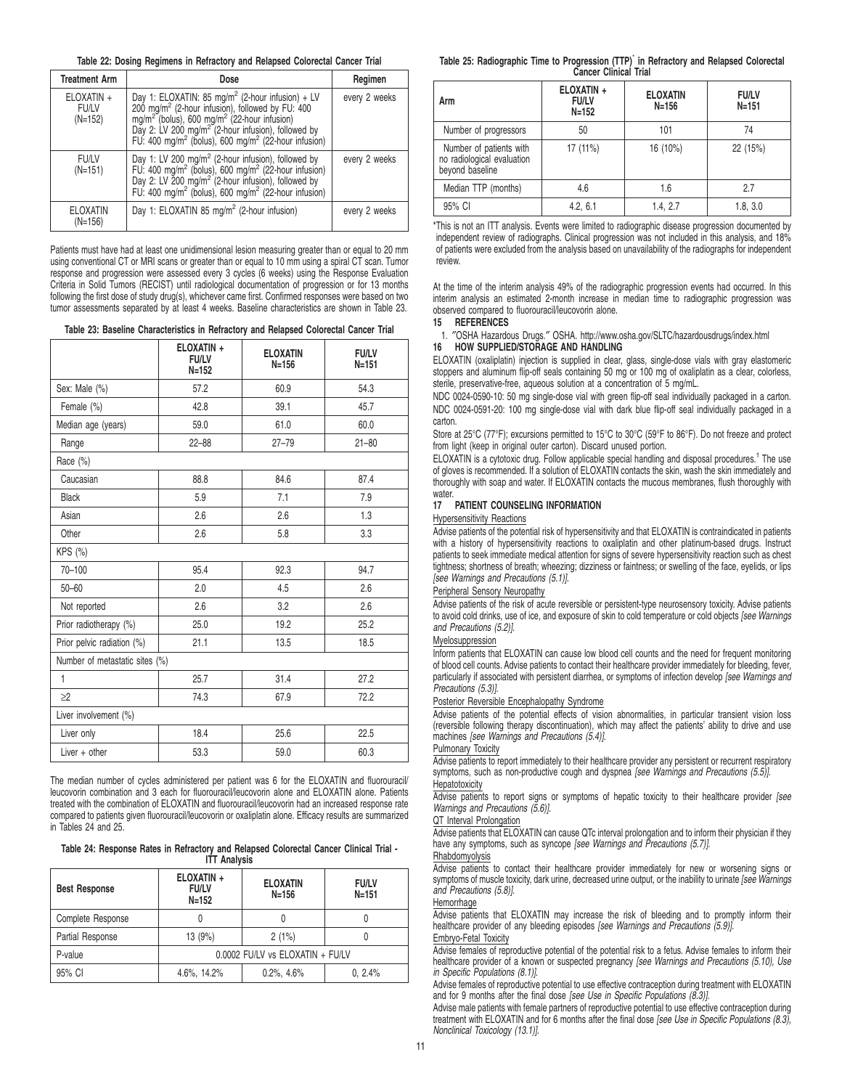**Table 22: Dosing Regimens in Refractory and Relapsed Colorectal Cancer Trial**

| <b>Treatment Arm</b>                    | Dose                                                                                                                                                                                                                                                                                                                                                        | Regimen       |
|-----------------------------------------|-------------------------------------------------------------------------------------------------------------------------------------------------------------------------------------------------------------------------------------------------------------------------------------------------------------------------------------------------------------|---------------|
| $ELOXATIN +$<br><b>FU/LV</b><br>(N=152) | Day 1: ELOXATIN: 85 mg/m <sup>2</sup> (2-hour infusion) + LV<br>200 mg/m <sup>2</sup> (2-hour infusion), followed by FU: 400<br>$200$ mg/m <sup>2</sup> (bolus), 600 mg/m <sup>2</sup> (22-hour infusion)<br>Day 2: LV 200 mg/m <sup>2</sup> (22-hour infusion), followed by<br>FU: 400 mg/m <sup>2</sup> (bolus), 600 mg/m <sup>2</sup> (22-hour infusion) | every 2 weeks |
| <b>FU/LV</b><br>$(N=151)$               | Day 1: LV 200 mg/m <sup>2</sup> (2-hour infusion), followed by FU: 400 mg/m <sup>2</sup> (bolus), 600 mg/m <sup>2</sup> (22-hour infusion) Day 2: LV 200 mg/m <sup>2</sup> (2-hour infusion), followed by FU: 400 mg/m <sup>2</sup> (bolus), 600 mg/m <sup>2</sup> (22-hour infusion)                                                                       | every 2 weeks |
| <b>ELOXATIN</b><br>$(N=156)$            | Day 1: ELOXATIN 85 mg/m <sup>2</sup> (2-hour infusion)                                                                                                                                                                                                                                                                                                      | every 2 weeks |

Patients must have had at least one unidimensional lesion measuring greater than or equal to 20 mm using conventional CT or MRI scans or greater than or equal to 10 mm using a spiral CT scan. Tumor response and progression were assessed every 3 cycles (6 weeks) using the Response Evaluation Criteria in Solid Tumors (RECIST) until radiological documentation of progression or for 13 months following the first dose of study drug(s), whichever came first. Confirmed responses were based on two tumor assessments separated by at least 4 weeks. Baseline characteristics are shown in Table 23.

**Table 23: Baseline Characteristics in Refractory and Relapsed Colorectal Cancer Trial**

|                                | ELOXATIN +<br><b>FU/LV</b><br>$N = 152$ | <b>ELOXATIN</b><br>$N = 156$ | <b>FU/LV</b><br>$N = 151$ |
|--------------------------------|-----------------------------------------|------------------------------|---------------------------|
| Sex: Male (%)                  | 57.2                                    | 60.9                         | 54.3                      |
| Female (%)                     | 42.8                                    | 39.1                         | 45.7                      |
| Median age (years)             | 59.0                                    | 61.0                         | 60.0                      |
| Range                          | $22 - 88$                               | $27 - 79$                    | $21 - 80$                 |
| Race (%)                       |                                         |                              |                           |
| Caucasian                      | 88.8                                    | 84.6                         | 87.4                      |
| Black                          | 5.9                                     | 7.1                          | 7.9                       |
| Asian                          | 2.6                                     | 2.6                          | 1.3                       |
| Other                          | 2.6                                     | 5.8                          | 3.3                       |
| KPS (%)                        |                                         |                              |                           |
| $70 - 100$                     | 95.4                                    | 92.3                         | 94.7                      |
| $50 - 60$                      | 2.0                                     | 4.5                          | 2.6                       |
| Not reported                   | 2.6                                     | 3.2                          | 2.6                       |
| Prior radiotherapy (%)         | 25.0                                    | 19.2                         | 25.2                      |
| Prior pelvic radiation (%)     | 21.1                                    | 13.5                         | 18.5                      |
| Number of metastatic sites (%) |                                         |                              |                           |
| 1                              | 25.7                                    | 31.4                         | 27.2                      |
| >2                             | 74.3                                    | 67.9                         | 72.2                      |
| Liver involvement (%)          |                                         |                              |                           |
| Liver only                     | 18.4                                    | 25.6                         | 22.5                      |
| Liver $+$ other                | 53.3                                    | 59.0                         | 60.3                      |

The median number of cycles administered per patient was 6 for the ELOXATIN and fluorouracil/ leucovorin combination and 3 each for fluorouracil/leucovorin alone and ELOXATIN alone. Patients treated with the combination of ELOXATIN and fluorouracil/leucovorin had an increased response rate compared to patients given fluorouracil/leucovorin or oxaliplatin alone. Efficacy results are summarized in Tables 24 and 25.

**Table 24: Response Rates in Refractory and Relapsed Colorectal Cancer Clinical Trial - ITT Analysis**

| <b>Best Response</b> | ELOXATIN +<br><b>FU/LV</b><br>$N = 152$ | <b>ELOXATIN</b><br>$N = 156$     | <b>FU/LV</b><br>$N = 151$ |
|----------------------|-----------------------------------------|----------------------------------|---------------------------|
| Complete Response    |                                         |                                  |                           |
| Partial Response     | 13 (9%)                                 | 2(1%)                            |                           |
| P-value              |                                         | 0.0002 FU/LV vs ELOXATIN + FU/LV |                           |
| 95% CI               | 4.6%, 14.2%                             | $0.2\%$ , 4.6%                   | 0, 2.4%                   |

#### **Table 25: Radiographic Time to Progression (TTP)**\* **in Refractory and Relapsed Colorectal Cancer Clinical Trial**

| Arm                                                                      | ELOXATIN +<br><b>FU/LV</b><br>$N = 152$ | <b>ELOXATIN</b><br>$N = 156$ | <b>FU/LV</b><br>$N = 151$ |  |  |  |
|--------------------------------------------------------------------------|-----------------------------------------|------------------------------|---------------------------|--|--|--|
| Number of progressors                                                    | 50                                      | 101                          | 74                        |  |  |  |
| Number of patients with<br>no radiological evaluation<br>beyond baseline | 17 (11%)                                | 16 (10%)                     | 22 (15%)                  |  |  |  |
| Median TTP (months)                                                      | 4.6                                     | 1.6                          | 2.7                       |  |  |  |
| 95% CI                                                                   | 4.2, 6.1                                | 1.4, 2.7                     | 1.8, 3.0                  |  |  |  |

\*This is not an ITT analysis. Events were limited to radiographic disease progression documented by independent review of radiographs. Clinical progression was not included in this analysis, and 18% of patients were excluded from the analysis based on unavailability of the radiographs for independent review.

At the time of the interim analysis 49% of the radiographic progression events had occurred. In this interim analysis an estimated 2-month increase in median time to radiographic progression was observed compared to fluorouracil/leucovorin alone.

### **15 REFERENCES**

1. ″OSHA Hazardous Drugs.″ OSHA. http://www.osha.gov/SLTC/hazardousdrugs/index.html **16 HOW SUPPLIED/STORAGE AND HANDLING**

ELOXATIN (oxaliplatin) injection is supplied in clear, glass, single-dose vials with gray elastomeric stoppers and aluminum flip-off seals containing 50 mg or 100 mg of oxaliplatin as a clear, colorless, sterile, preservative-free, aqueous solution at a concentration of 5 mg/mL.

NDC 0024-0590-10: 50 mg single-dose vial with green flip-off seal individually packaged in a carton. NDC 0024-0591-20: 100 mg single-dose vial with dark blue flip-off seal individually packaged in a carton.

Store at 25°C (77°F); excursions permitted to 15°C to 30°C (59°F to 86°F). Do not freeze and protect from light (keep in original outer carton). Discard unused portion.

ELOXATIN is a cytotoxic drug. Follow applicable special handling and disposal procedures.<sup>1</sup> The use of gloves is recommended. If a solution of ELOXATIN contacts the skin, wash the skin immediately and thoroughly with soap and water. If ELOXATIN contacts the mucous membranes, flush thoroughly with water.

#### **17 PATIENT COUNSELING INFORMATION**

#### Hypersensitivity Reactions

Advise patients of the potential risk of hypersensitivity and that ELOXATIN is contraindicated in patients with a history of hypersensitivity reactions to oxaliplatin and other platinum-based drugs. Instruct patients to seek immediate medical attention for signs of severe hypersensitivity reaction such as chest tightness; shortness of breath; wheezing; dizziness or faintness; or swelling of the face, eyelids, or lips [see Warnings and Precautions (5.1)].

#### Peripheral Sensory Neuropathy

Advise patients of the risk of acute reversible or persistent-type neurosensory toxicity. Advise patients to avoid cold drinks, use of ice, and exposure of skin to cold temperature or cold objects [see Warnings and Precautions (5.2)].

#### Myelosuppression

Inform patients that ELOXATIN can cause low blood cell counts and the need for frequent monitoring of blood cell counts. Advise patients to contact their healthcare provider immediately for bleeding, fever, particularly if associated with persistent diarrhea, or symptoms of infection develop [see Warnings and Precautions (5.3)].

## Posterior Reversible Encephalopathy Syndrome

Advise patients of the potential effects of vision abnormalities, in particular transient vision loss (reversible following therapy discontinuation), which may affect the patients' ability to drive and use machines [see Warnings and Precautions (5.4)].

#### Pulmonary Toxicity

Advise patients to report immediately to their healthcare provider any persistent or recurrent respiratory symptoms, such as non-productive cough and dyspnea [see Warnings and Precautions (5.5)].

## **Hepatotoxicity**

Advise patients to report signs or symptoms of hepatic toxicity to their healthcare provider [see Warnings and Precautions (5.6)].

#### QT Interval Prolongation

Advise patients that ELOXATIN can cause QTc interval prolongation and to inform their physician if they have any symptoms, such as syncope [see Warnings and Precautions (5.7)].

# Rhabdomyolysis

Advise patients to contact their healthcare provider immediately for new or worsening signs or symptoms of muscle toxicity, dark urine, decreased urine output, or the inability to urinate [see Warnings and Precautions (5.8)].

#### Hemorrhage

Advise patients that ELOXATIN may increase the risk of bleeding and to promptly inform their healthcare provider of any bleeding episodes [see Warnings and Precautions (5.9)]. Embryo-Fetal Toxicity

Advise females of reproductive potential of the potential risk to a fetus. Advise females to inform their healthcare provider of a known or suspected pregnancy [see Warnings and Precautions (5.10), Use in Specific Populations (8.1)].

Advise females of reproductive potential to use effective contraception during treatment with ELOXATIN and for 9 months after the final dose [see Use in Specific Populations (8.3)].

Advise male patients with female partners of reproductive potential to use effective contraception during treatment with ELOXATIN and for 6 months after the final dose [see Use in Specific Populations (8.3), Nonclinical Toxicology (13.1)].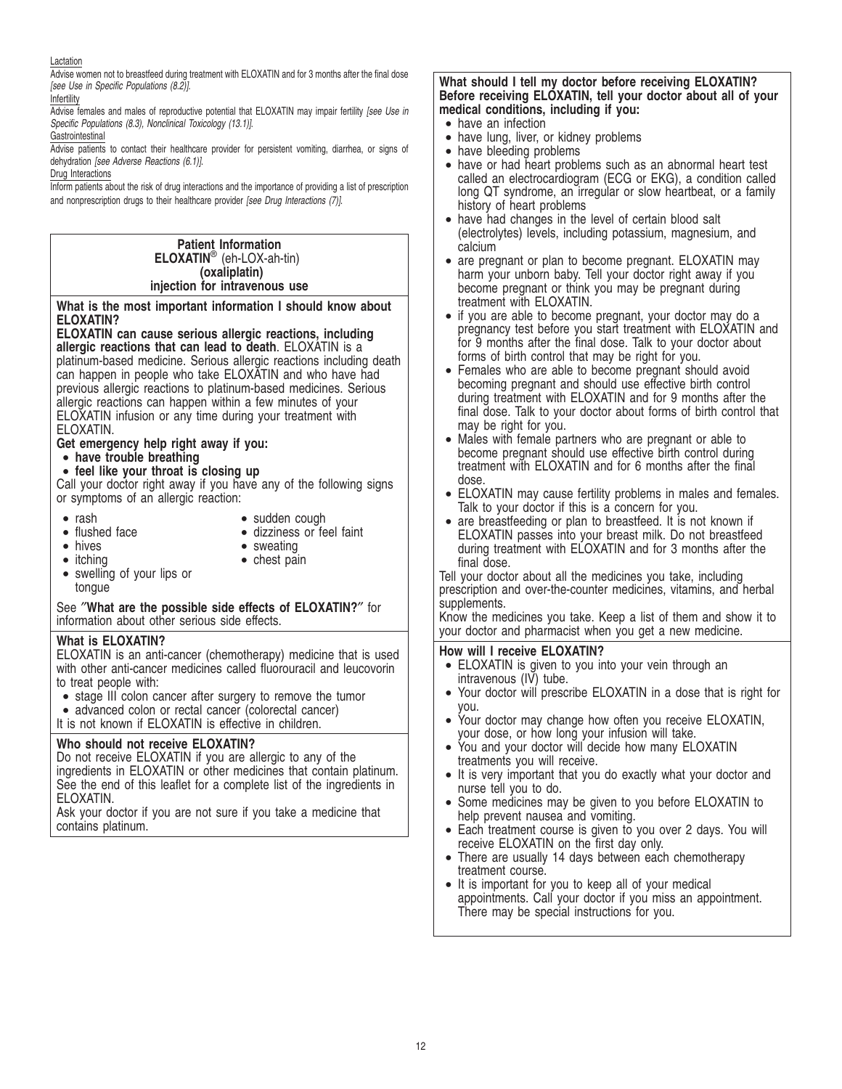## Lactation

Advise women not to breastfeed during treatment with ELOXATIN and for 3 months after the final dose [see Use in Specific Populations (8.2)].

Infertility

Advise females and males of reproductive potential that ELOXATIN may impair fertility [see Use in Specific Populations (8.3), Nonclinical Toxicology (13.1)].

Gastrointestinal

Advise patients to contact their healthcare provider for persistent vomiting, diarrhea, or signs of dehydration [see Adverse Reactions (6.1)].

## Drug Interactions

Inform patients about the risk of drug interactions and the importance of providing a list of prescription and nonprescription drugs to their healthcare provider [see Drug Interactions (7)].

#### **Patient Information ELOXATIN**® (eh-LOX-ah-tin) **(oxaliplatin) injection for intravenous use**

**What is the most important information I should know about ELOXATIN?**

**ELOXATIN can cause serious allergic reactions, including allergic reactions that can lead to death**. ELOXATIN is a platinum-based medicine. Serious allergic reactions including death can happen in people who take ELOXATIN and who have had previous allergic reactions to platinum-based medicines. Serious allergic reactions can happen within a few minutes of your ELOXATIN infusion or any time during your treatment with ELOXATIN.

## **Get emergency help right away if you:**

- **have trouble breathing**
- **feel like your throat is closing up**

Call your doctor right away if you have any of the following signs or symptoms of an allergic reaction:

• rash

- sudden cough
	- dizziness or feel faint

• hives • itching

• flushed face

- sweating • chest pain
- swelling of your lips or tongue

## See ″**What are the possible side effects of ELOXATIN?**″ for information about other serious side effects.

## **What is ELOXATIN?**

ELOXATIN is an anti-cancer (chemotherapy) medicine that is used with other anti-cancer medicines called fluorouracil and leucovorin to treat people with:

- stage III colon cancer after surgery to remove the tumor
- advanced colon or rectal cancer (colorectal cancer)
- It is not known if ELOXATIN is effective in children.

## **Who should not receive ELOXATIN?**

Do not receive ELOXATIN if you are allergic to any of the ingredients in ELOXATIN or other medicines that contain platinum. See the end of this leaflet for a complete list of the ingredients in ELOXATIN.

Ask your doctor if you are not sure if you take a medicine that contains platinum.

## **What should I tell my doctor before receiving ELOXATIN? Before receiving ELOXATIN, tell your doctor about all of your medical conditions, including if you:**

- have an infection
- have lung, liver, or kidney problems
- have bleeding problems
- have or had heart problems such as an abnormal heart test called an electrocardiogram (ECG or EKG), a condition called long QT syndrome, an irregular or slow heartbeat, or a family history of heart problems
- have had changes in the level of certain blood salt (electrolytes) levels, including potassium, magnesium, and calcium
- are pregnant or plan to become pregnant. ELOXATIN may harm your unborn baby. Tell your doctor right away if you become pregnant or think you may be pregnant during treatment with ELOXATIN.
- if you are able to become pregnant, your doctor may do a pregnancy test before you start treatment with ELOXATIN and for 9 months after the final dose. Talk to your doctor about forms of birth control that may be right for you.
- Females who are able to become pregnant should avoid becoming pregnant and should use effective birth control during treatment with ELOXATIN and for 9 months after the final dose. Talk to your doctor about forms of birth control that may be right for you.
- Males with female partners who are pregnant or able to become pregnant should use effective birth control during treatment with ELOXATIN and for 6 months after the final dose.
- ELOXATIN may cause fertility problems in males and females. Talk to your doctor if this is a concern for you.
- are breastfeeding or plan to breastfeed. It is not known if ELOXATIN passes into your breast milk. Do not breastfeed during treatment with ELOXATIN and for 3 months after the final dose.

Tell your doctor about all the medicines you take, including prescription and over-the-counter medicines, vitamins, and herbal supplements.

Know the medicines you take. Keep a list of them and show it to your doctor and pharmacist when you get a new medicine.

## **How will I receive ELOXATIN?**

- ELOXATIN is given to you into your vein through an intravenous (IV) tube.
- Your doctor will prescribe ELOXATIN in a dose that is right for you.
- Your doctor may change how often you receive ELOXATIN, your dose, or how long your infusion will take.
- You and your doctor will decide how many ELOXATIN treatments you will receive.
- It is very important that you do exactly what your doctor and nurse tell you to do.
- Some medicines may be given to you before ELOXATIN to help prevent nausea and vomiting.
- Each treatment course is given to you over 2 days. You will receive ELOXATIN on the first day only.
- There are usually 14 days between each chemotherapy treatment course.
- It is important for you to keep all of your medical appointments. Call your doctor if you miss an appointment. There may be special instructions for you.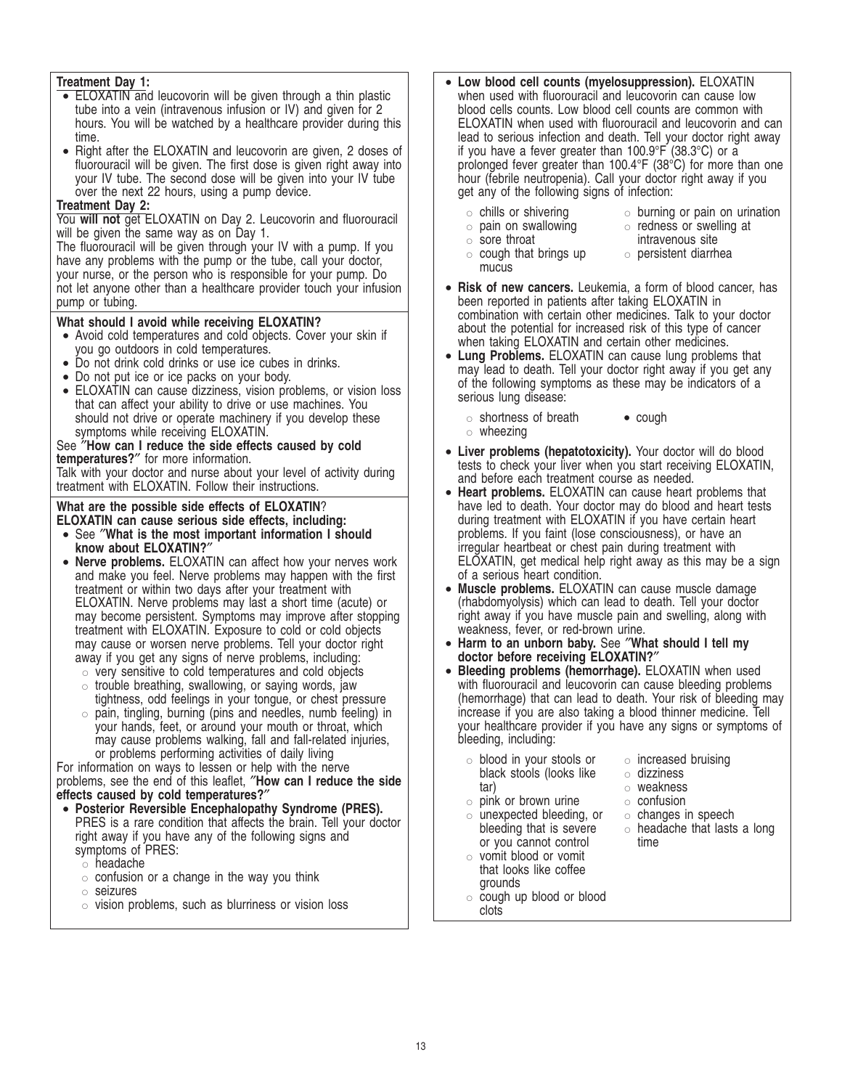## **Treatment Day 1:**

- ELOXATIN and leucovorin will be given through a thin plastic tube into a vein (intravenous infusion or IV) and given for 2 hours. You will be watched by a healthcare provider during this time.
- Right after the ELOXATIN and leucovorin are given, 2 doses of fluorouracil will be given. The first dose is given right away into your IV tube. The second dose will be given into your IV tube over the next 22 hours, using a pump device.

## **Treatment Day 2:**

You **will not** get ELOXATIN on Day 2. Leucovorin and fluorouracil will be given the same way as on Day 1.

The fluorouracil will be given through your IV with a pump. If you have any problems with the pump or the tube, call your doctor, your nurse, or the person who is responsible for your pump. Do not let anyone other than a healthcare provider touch your infusion pump or tubing.

## **What should I avoid while receiving ELOXATIN?**

- Avoid cold temperatures and cold objects. Cover your skin if you go outdoors in cold temperatures.
- Do not drink cold drinks or use ice cubes in drinks.
- Do not put ice or ice packs on your body.
- ELOXATIN can cause dizziness, vision problems, or vision loss that can affect your ability to drive or use machines. You should not drive or operate machinery if you develop these symptoms while receiving ELOXATIN.

### See ″**How can I reduce the side effects caused by cold temperatures?**″ for more information.

Talk with your doctor and nurse about your level of activity during treatment with ELOXATIN. Follow their instructions.

## **What are the possible side effects of ELOXATIN**? **ELOXATIN can cause serious side effects, including:**

- See ″**What is the most important information I should know about ELOXATIN?**″
- **Nerve problems.** ELOXATIN can affect how your nerves work and make you feel. Nerve problems may happen with the first treatment or within two days after your treatment with ELOXATIN. Nerve problems may last a short time (acute) or may become persistent. Symptoms may improve after stopping treatment with ELOXATIN. Exposure to cold or cold objects may cause or worsen nerve problems. Tell your doctor right away if you get any signs of nerve problems, including:
	- $\circ$  very sensitive to cold temperatures and cold objects
	- $\circ$  trouble breathing, swallowing, or saying words, jaw tightness, odd feelings in your tongue, or chest pressure  $\circ$  pain, tingling, burning (pins and needles, numb feeling) in
	- your hands, feet, or around your mouth or throat, which may cause problems walking, fall and fall-related injuries, or problems performing activities of daily living

For information on ways to lessen or help with the nerve problems, see the end of this leaflet, ″**How can I reduce the side effects caused by cold temperatures?**″

- **Posterior Reversible Encephalopathy Syndrome (PRES).** PRES is a rare condition that affects the brain. Tell your doctor right away if you have any of the following signs and symptoms of PRES:
	- $\circ$  headache
	- $\circ$  confusion or a change in the way you think
	- $\circ$  seizures
	- $\circ$  vision problems, such as blurriness or vision loss
- **Low blood cell counts (myelosuppression).** ELOXATIN when used with fluorouracil and leucovorin can cause low blood cells counts. Low blood cell counts are common with ELOXATIN when used with fluorouracil and leucovorin and can lead to serious infection and death. Tell your doctor right away if you have a fever greater than 100.9°F (38.3°C) or a prolonged fever greater than 100.4°F (38°C) for more than one hour (febrile neutropenia). Call your doctor right away if you get any of the following signs of infection:
	- $\circ$  chills or shivering
- $\circ$  burning or pain on urination
- $\circ$  pain on swallowing  $\circ$  sore throat
- $\circ$  redness or swelling at
- 
- intravenous site  $\circ$  persistent diarrhea
- $\circ$  cough that brings up mucus
- **Risk of new cancers.** Leukemia, a form of blood cancer, has been reported in patients after taking ELOXATIN in combination with certain other medicines. Talk to your doctor about the potential for increased risk of this type of cancer when taking ELOXATIN and certain other medicines.
- **Lung Problems.** ELOXATIN can cause lung problems that may lead to death. Tell your doctor right away if you get any of the following symptoms as these may be indicators of a serious lung disease:
	- $\circ$  shortness of breath
	- $\circ$  wheezing
- **Liver problems (hepatotoxicity).** Your doctor will do blood tests to check your liver when you start receiving ELOXATIN, and before each treatment course as needed.
- **Heart problems.** ELOXATIN can cause heart problems that have led to death. Your doctor may do blood and heart tests during treatment with ELOXATIN if you have certain heart problems. If you faint (lose consciousness), or have an irregular heartbeat or chest pain during treatment with ELOXATIN, get medical help right away as this may be a sign of a serious heart condition.
- **Muscle problems.** ELOXATIN can cause muscle damage (rhabdomyolysis) which can lead to death. Tell your doctor right away if you have muscle pain and swelling, along with weakness, fever, or red-brown urine.
- **Harm to an unborn baby.** See ″**What should I tell my doctor before receiving ELOXATIN?**″
- **Bleeding problems (hemorrhage).** ELOXATIN when used with fluorouracil and leucovorin can cause bleeding problems (hemorrhage) that can lead to death. Your risk of bleeding may increase if you are also taking a blood thinner medicine. Tell your healthcare provider if you have any signs or symptoms of bleeding, including:
	- $\circ$  blood in your stools or black stools (looks like tar)
	- $\circ$  pink or brown urine
	- $\circ$  unexpected bleeding, or bleeding that is severe or you cannot control
	- $\circ$  vomit blood or vomit that looks like coffee grounds
	- $\circ$  cough up blood or blood clots
- $\circ$  increased bruising
- $\circ$  dizziness
- o weakness
- $\circ$  confusion
- $\circ$  changes in speech
- $\circ$  headache that lasts a long time

• cough